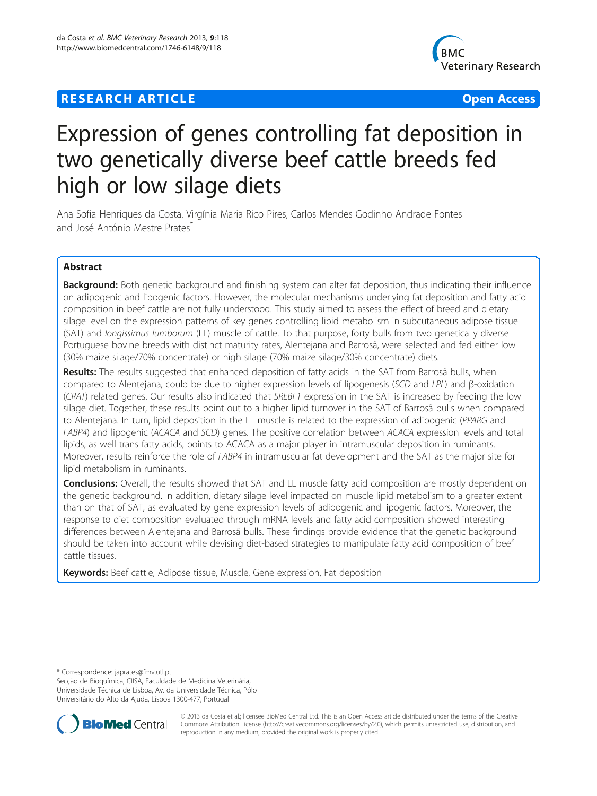## **RESEARCH ARTICLE Example 2018 12:30 THE Open Access**



# Expression of genes controlling fat deposition in two genetically diverse beef cattle breeds fed high or low silage diets

Ana Sofia Henriques da Costa, Virgínia Maria Rico Pires, Carlos Mendes Godinho Andrade Fontes and José António Mestre Prates<sup>7</sup>

## Abstract

Background: Both genetic background and finishing system can alter fat deposition, thus indicating their influence on adipogenic and lipogenic factors. However, the molecular mechanisms underlying fat deposition and fatty acid composition in beef cattle are not fully understood. This study aimed to assess the effect of breed and dietary silage level on the expression patterns of key genes controlling lipid metabolism in subcutaneous adipose tissue (SAT) and longissimus lumborum (LL) muscle of cattle. To that purpose, forty bulls from two genetically diverse Portuguese bovine breeds with distinct maturity rates, Alentejana and Barrosã, were selected and fed either low (30% maize silage/70% concentrate) or high silage (70% maize silage/30% concentrate) diets.

Results: The results suggested that enhanced deposition of fatty acids in the SAT from Barrosã bulls, when compared to Alentejana, could be due to higher expression levels of lipogenesis (SCD and LPL) and β-oxidation (CRAT) related genes. Our results also indicated that SREBF1 expression in the SAT is increased by feeding the low silage diet. Together, these results point out to a higher lipid turnover in the SAT of Barrosã bulls when compared to Alentejana. In turn, lipid deposition in the LL muscle is related to the expression of adipogenic (PPARG and FABP4) and lipogenic (ACACA and SCD) genes. The positive correlation between ACACA expression levels and total lipids, as well trans fatty acids, points to ACACA as a major player in intramuscular deposition in ruminants. Moreover, results reinforce the role of FABP4 in intramuscular fat development and the SAT as the major site for lipid metabolism in ruminants.

**Conclusions:** Overall, the results showed that SAT and LL muscle fatty acid composition are mostly dependent on the genetic background. In addition, dietary silage level impacted on muscle lipid metabolism to a greater extent than on that of SAT, as evaluated by gene expression levels of adipogenic and lipogenic factors. Moreover, the response to diet composition evaluated through mRNA levels and fatty acid composition showed interesting differences between Alentejana and Barrosã bulls. These findings provide evidence that the genetic background should be taken into account while devising diet-based strategies to manipulate fatty acid composition of beef cattle tissues.

Keywords: Beef cattle, Adipose tissue, Muscle, Gene expression, Fat deposition

\* Correspondence: [japrates@fmv.utl.pt](mailto:japrates@fmv.utl.pt)

Secção de Bioquímica, CIISA, Faculdade de Medicina Veterinária, Universidade Técnica de Lisboa, Av. da Universidade Técnica, Pólo Universitário do Alto da Ajuda, Lisboa 1300-477, Portugal



© 2013 da Costa et al.; licensee BioMed Central Ltd. This is an Open Access article distributed under the terms of the Creative Commons Attribution License [\(http://creativecommons.org/licenses/by/2.0\)](http://creativecommons.org/licenses/by/2.0), which permits unrestricted use, distribution, and reproduction in any medium, provided the original work is properly cited.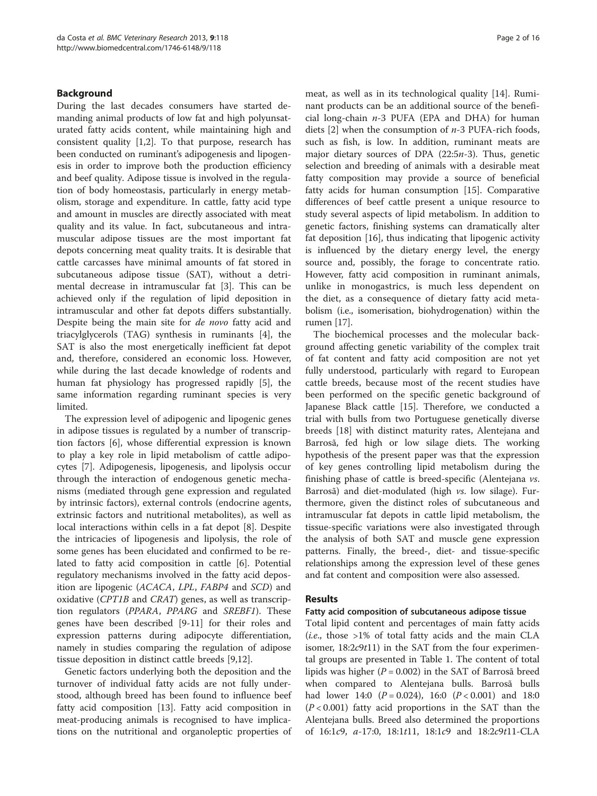## Background

During the last decades consumers have started demanding animal products of low fat and high polyunsaturated fatty acids content, while maintaining high and consistent quality [[1](#page-13-0),[2](#page-13-0)]. To that purpose, research has been conducted on ruminant's adipogenesis and lipogenesis in order to improve both the production efficiency and beef quality. Adipose tissue is involved in the regulation of body homeostasis, particularly in energy metabolism, storage and expenditure. In cattle, fatty acid type and amount in muscles are directly associated with meat quality and its value. In fact, subcutaneous and intramuscular adipose tissues are the most important fat depots concerning meat quality traits. It is desirable that cattle carcasses have minimal amounts of fat stored in subcutaneous adipose tissue (SAT), without a detrimental decrease in intramuscular fat [\[3](#page-13-0)]. This can be achieved only if the regulation of lipid deposition in intramuscular and other fat depots differs substantially. Despite being the main site for de novo fatty acid and triacylglycerols (TAG) synthesis in ruminants [[4\]](#page-13-0), the SAT is also the most energetically inefficient fat depot and, therefore, considered an economic loss. However, while during the last decade knowledge of rodents and human fat physiology has progressed rapidly [[5\]](#page-13-0), the same information regarding ruminant species is very limited.

The expression level of adipogenic and lipogenic genes in adipose tissues is regulated by a number of transcription factors [\[6](#page-13-0)], whose differential expression is known to play a key role in lipid metabolism of cattle adipocytes [\[7](#page-13-0)]. Adipogenesis, lipogenesis, and lipolysis occur through the interaction of endogenous genetic mechanisms (mediated through gene expression and regulated by intrinsic factors), external controls (endocrine agents, extrinsic factors and nutritional metabolites), as well as local interactions within cells in a fat depot [[8\]](#page-14-0). Despite the intricacies of lipogenesis and lipolysis, the role of some genes has been elucidated and confirmed to be related to fatty acid composition in cattle [[6\]](#page-13-0). Potential regulatory mechanisms involved in the fatty acid deposition are lipogenic (ACACA, LPL, FABP4 and SCD) and oxidative (CPT1B and CRAT) genes, as well as transcription regulators (PPARA, PPARG and SREBF1). These genes have been described [\[9](#page-14-0)-[11\]](#page-14-0) for their roles and expression patterns during adipocyte differentiation, namely in studies comparing the regulation of adipose tissue deposition in distinct cattle breeds [[9,12\]](#page-14-0).

Genetic factors underlying both the deposition and the turnover of individual fatty acids are not fully understood, although breed has been found to influence beef fatty acid composition [\[13\]](#page-14-0). Fatty acid composition in meat-producing animals is recognised to have implications on the nutritional and organoleptic properties of

meat, as well as in its technological quality [[14\]](#page-14-0). Ruminant products can be an additional source of the beneficial long-chain  $n-3$  PUFA (EPA and DHA) for human diets  $[2]$  $[2]$  when the consumption of *n*-3 PUFA-rich foods, such as fish, is low. In addition, ruminant meats are major dietary sources of DPA  $(22:5n-3)$ . Thus, genetic selection and breeding of animals with a desirable meat fatty composition may provide a source of beneficial fatty acids for human consumption [[15\]](#page-14-0). Comparative differences of beef cattle present a unique resource to study several aspects of lipid metabolism. In addition to genetic factors, finishing systems can dramatically alter fat deposition [\[16](#page-14-0)], thus indicating that lipogenic activity is influenced by the dietary energy level, the energy source and, possibly, the forage to concentrate ratio. However, fatty acid composition in ruminant animals, unlike in monogastrics, is much less dependent on the diet, as a consequence of dietary fatty acid metabolism (i.e., isomerisation, biohydrogenation) within the rumen [\[17\]](#page-14-0).

The biochemical processes and the molecular background affecting genetic variability of the complex trait of fat content and fatty acid composition are not yet fully understood, particularly with regard to European cattle breeds, because most of the recent studies have been performed on the specific genetic background of Japanese Black cattle [\[15](#page-14-0)]. Therefore, we conducted a trial with bulls from two Portuguese genetically diverse breeds [\[18](#page-14-0)] with distinct maturity rates, Alentejana and Barrosã, fed high or low silage diets. The working hypothesis of the present paper was that the expression of key genes controlling lipid metabolism during the finishing phase of cattle is breed-specific (Alentejana vs. Barrosã) and diet-modulated (high vs. low silage). Furthermore, given the distinct roles of subcutaneous and intramuscular fat depots in cattle lipid metabolism, the tissue-specific variations were also investigated through the analysis of both SAT and muscle gene expression patterns. Finally, the breed-, diet- and tissue-specific relationships among the expression level of these genes and fat content and composition were also assessed.

## Results

#### Fatty acid composition of subcutaneous adipose tissue

Total lipid content and percentages of main fatty acids (*i.e.*, those  $>1\%$  of total fatty acids and the main CLA isomer, 18:2c9t11) in the SAT from the four experimental groups are presented in Table [1.](#page-2-0) The content of total lipids was higher ( $P = 0.002$ ) in the SAT of Barrosã breed when compared to Alentejana bulls. Barrosã bulls had lower 14:0  $(P = 0.024)$ , 16:0  $(P < 0.001)$  and 18:0  $(P<0.001)$  fatty acid proportions in the SAT than the Alentejana bulls. Breed also determined the proportions of 16:1c9, a-17:0, 18:1t11, 18:1c9 and 18:2c9t11-CLA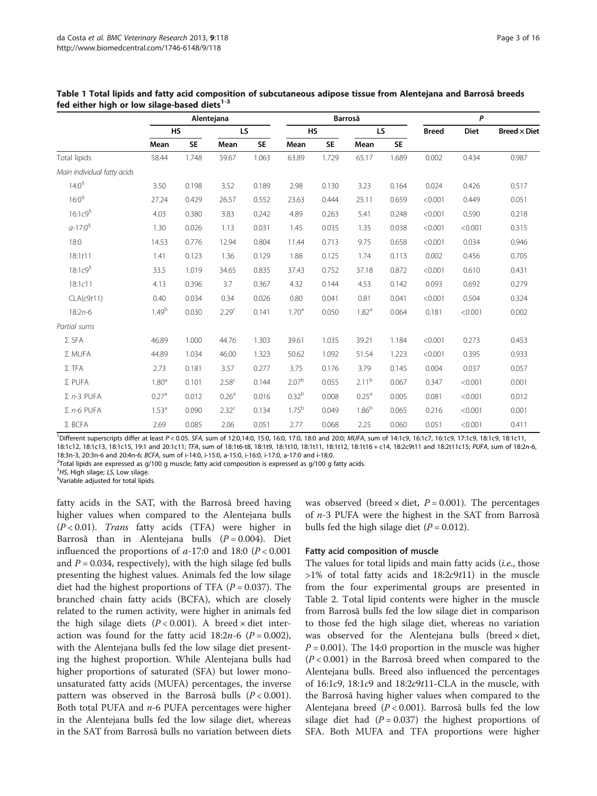|                             | Alentejana        |           |                   |           | <b>Barrosa</b>    |           |                   |           | P            |             |                                       |
|-----------------------------|-------------------|-----------|-------------------|-----------|-------------------|-----------|-------------------|-----------|--------------|-------------|---------------------------------------|
|                             | <b>HS</b>         |           | LS                |           | <b>HS</b>         |           | <b>LS</b>         |           | <b>Breed</b> | <b>Diet</b> | <b>Breed <math>\times</math> Diet</b> |
|                             | Mean              | <b>SE</b> | Mean              | <b>SE</b> | Mean              | <b>SE</b> | Mean              | <b>SE</b> |              |             |                                       |
| <b>Total lipids</b>         | 58.44             | 1.748     | 59.67             | 1.063     | 63.89             | 1.729     | 65.17             | 1.689     | 0.002        | 0.434       | 0.987                                 |
| Main individual fatty acids |                   |           |                   |           |                   |           |                   |           |              |             |                                       |
| $14:0^6$                    | 3.50              | 0.198     | 3.52              | 0.189     | 2.98              | 0.130     | 3.23              | 0.164     | 0.024        | 0.426       | 0.517                                 |
| $16:0^{5}$                  | 27.24             | 0.429     | 26.57             | 0.552     | 23.63             | 0.444     | 25.11             | 0.659     | < 0.001      | 0.449       | 0.051                                 |
| $16:1c9^{6}$                | 4.03              | 0.380     | 3.83              | 0.242     | 4.89              | 0.263     | 5.41              | 0.248     | < 0.001      | 0.590       | 0.218                                 |
| $a-17:0^5$                  | 1.30              | 0.026     | 1.13              | 0.031     | 1.45              | 0.035     | 1.35              | 0.038     | < 0.001      | < 0.001     | 0.315                                 |
| 18:0                        | 14.53             | 0.776     | 12.94             | 0.804     | 11.44             | 0.713     | 9.75              | 0.658     | < 0.001      | 0.034       | 0.946                                 |
| 18:1t11                     | 1.41              | 0.123     | 1.36              | 0.129     | 1.88              | 0.125     | 1.74              | 0.113     | 0.002        | 0.456       | 0.705                                 |
| $18:1c9^{6}$                | 33.5              | 1.019     | 34.65             | 0.835     | 37.43             | 0.752     | 37.18             | 0.872     | < 0.001      | 0.610       | 0.431                                 |
| 18:1c11                     | 4.13              | 0.396     | 3.7               | 0.367     | 4.32              | 0.144     | 4.53              | 0.142     | 0.093        | 0.692       | 0.279                                 |
| CLA(c9t11)                  | 0.40              | 0.034     | 0.34              | 0.026     | 0.80              | 0.041     | 0.81              | 0.041     | < 0.001      | 0.504       | 0.324                                 |
| $18:2n-6$                   | $1.49^{b}$        | 0.030     | 2.29 <sup>c</sup> | 0.141     | 1.70 <sup>a</sup> | 0.050     | 1.82 <sup>a</sup> | 0.064     | 0.181        | < 0.001     | 0.002                                 |
| Partial sums                |                   |           |                   |           |                   |           |                   |           |              |             |                                       |
| $\Sigma$ SFA                | 46.89             | 1.000     | 44.76             | 1.303     | 39.61             | 1.035     | 39.21             | 1.184     | < 0.001      | 0.273       | 0.453                                 |
| Σ MUFA                      | 44.89             | 1.034     | 46.00             | 1.323     | 50.62             | 1.092     | 51.54             | 1.223     | < 0.001      | 0.395       | 0.933                                 |
| $\Sigma$ TFA                | 2.73              | 0.181     | 3.57              | 0.277     | 3.75              | 0.176     | 3.79              | 0.145     | 0.004        | 0.037       | 0.057                                 |
| $\Sigma$ PUFA               | 1.80 <sup>a</sup> | 0.101     | 2.58 <sup>c</sup> | 0.144     | 2.07 <sup>b</sup> | 0.055     | $2.11^{b}$        | 0.067     | 0.347        | < 0.001     | 0.001                                 |
| $\Sigma$ n-3 PUFA           | 0.27 <sup>a</sup> | 0.012     | 0.26 <sup>a</sup> | 0.016     | $0.32^{b}$        | 0.008     | $0.25^{\circ}$    | 0.005     | 0.081        | < 0.001     | 0.012                                 |
| $\Sigma$ n-6 PUFA           | 1.53 <sup>a</sup> | 0.090     | 2.32 <sup>c</sup> | 0.134     | $1.75^{b}$        | 0.049     | 1.86 <sup>b</sup> | 0.065     | 0.216        | < 0.001     | 0.001                                 |
| $\Sigma$ BCFA               | 2.69              | 0.085     | 2.06              | 0.051     | 2.77              | 0.068     | 2.25              | 0.060     | 0.051        | < 0.001     | 0.411                                 |

<span id="page-2-0"></span>Table 1 Total lipids and fatty acid composition of subcutaneous adipose tissue from Alentejana and Barrosã breeds fed either high or low silage-based diets $1-3$ 

1 Different superscripts differ at least P < 0.05. SFA, sum of 12:0,14:0, 15:0, 16:0, 17:0, 18:0 and 20:0; MUFA, sum of 14:1c9, 16:1c7, 16:1c9, 17:1c9, 18:1c9, 18:1c11, 18:1c12, 18:1c13, 18:1c15, 19:1 and 20:1c11; TFA, sum of 18:1t6-t8, 18:1t9, 18:1t10, 18:1t11, 18:1t12, 18:1t16 + c14, 18:2c9t11 and 18:2t11c15; PUFA, sum of 18:2n-6, 18:3n-3, 20:3n-6 and 20:4n-6; BCFA, sum of i-14:0, i-15:0, a-15:0, i-16:0, i-17:0, a-17:0 and i-18:0. <sup>2</sup>

 $2$ Total lipids are expressed as g/100 g muscle; fatty acid composition is expressed as g/100 g fatty acids.

 $3$  HS, High silage; LS, Low silage.

Variable adjusted for total lipids.

fatty acids in the SAT, with the Barrosã breed having higher values when compared to the Alentejana bulls  $(P<0.01)$ . Trans fatty acids (TFA) were higher in Barrosã than in Alentejana bulls  $(P = 0.004)$ . Diet influenced the proportions of  $a-17:0$  and 18:0 ( $P < 0.001$ ) and  $P = 0.034$ , respectively), with the high silage fed bulls presenting the highest values. Animals fed the low silage diet had the highest proportions of TFA  $(P = 0.037)$ . The branched chain fatty acids (BCFA), which are closely related to the rumen activity, were higher in animals fed the high silage diets ( $P < 0.001$ ). A breed  $\times$  diet interaction was found for the fatty acid  $18:2n-6$  ( $P = 0.002$ ), with the Alentejana bulls fed the low silage diet presenting the highest proportion. While Alentejana bulls had higher proportions of saturated (SFA) but lower monounsaturated fatty acids (MUFA) percentages, the inverse pattern was observed in the Barrosã bulls  $(P < 0.001)$ . Both total PUFA and  $n-6$  PUFA percentages were higher in the Alentejana bulls fed the low silage diet, whereas in the SAT from Barrosã bulls no variation between diets was observed (breed  $\times$  diet,  $P = 0.001$ ). The percentages of n-3 PUFA were the highest in the SAT from Barrosã bulls fed the high silage diet ( $P = 0.012$ ).

### Fatty acid composition of muscle

The values for total lipids and main fatty acids  $(i.e.,$  those  $>1\%$  of total fatty acids and  $18:2c9t11$ ) in the muscle from the four experimental groups are presented in Table [2.](#page-3-0) Total lipid contents were higher in the muscle from Barrosã bulls fed the low silage diet in comparison to those fed the high silage diet, whereas no variation was observed for the Alentejana bulls (breed  $\times$  diet,  $P = 0.001$ ). The 14:0 proportion in the muscle was higher  $(P<0.001)$  in the Barrosã breed when compared to the Alentejana bulls. Breed also influenced the percentages of 16:1 $c$ 9, 18:1 $c$ 9 and 18:2 $c$ 9 $t$ 11-CLA in the muscle, with the Barrosã having higher values when compared to the Alentejana breed ( $P < 0.001$ ). Barrosã bulls fed the low silage diet had  $(P = 0.037)$  the highest proportions of SFA. Both MUFA and TFA proportions were higher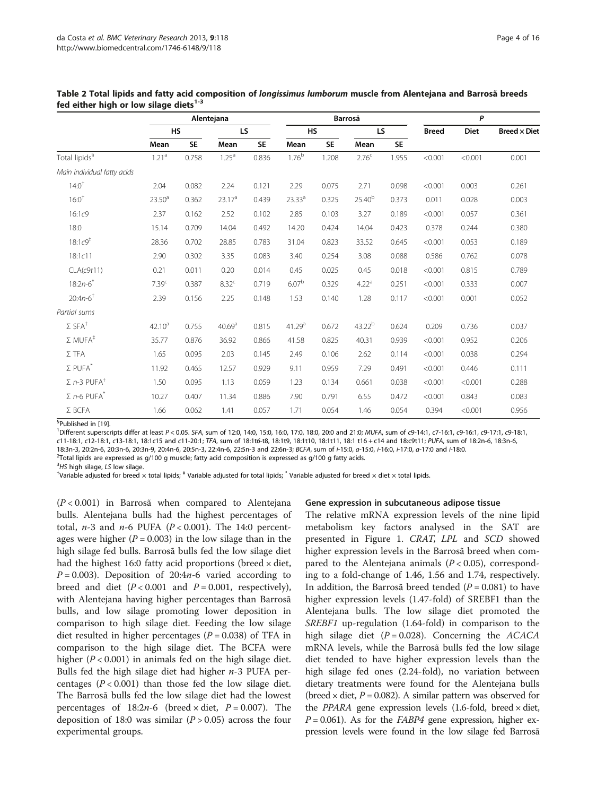|                                | Alentejana         |           |                    | <b>Barrosa</b> |                    |           |                    | P         |              |             |                     |
|--------------------------------|--------------------|-----------|--------------------|----------------|--------------------|-----------|--------------------|-----------|--------------|-------------|---------------------|
|                                | <b>HS</b>          |           | LS                 |                | <b>HS</b>          |           | LS                 |           | <b>Breed</b> | <b>Diet</b> | Breed $\times$ Diet |
|                                | Mean               | <b>SE</b> | Mean               | <b>SE</b>      | Mean               | <b>SE</b> | Mean               | <b>SE</b> |              |             |                     |
| Total lipids <sup>§</sup>      | $1.21^{\text{a}}$  | 0.758     | 1.25 <sup>a</sup>  | 0.836          | $1.76^{b}$         | 1.208     | 2.76 <sup>c</sup>  | 1.955     | < 0.001      | < 0.001     | 0.001               |
| Main individual fatty acids    |                    |           |                    |                |                    |           |                    |           |              |             |                     |
| $14:0^{+}$                     | 2.04               | 0.082     | 2.24               | 0.121          | 2.29               | 0.075     | 2.71               | 0.098     | < 0.001      | 0.003       | 0.261               |
| $16:0^{+}$                     | 23.50 <sup>a</sup> | 0.362     | 23.17 <sup>a</sup> | 0.439          | 23.33 <sup>a</sup> | 0.325     | $25.40^{b}$        | 0.373     | 0.011        | 0.028       | 0.003               |
| 16:1c9                         | 2.37               | 0.162     | 2.52               | 0.102          | 2.85               | 0.103     | 3.27               | 0.189     | < 0.001      | 0.057       | 0.361               |
| 18:0                           | 15.14              | 0.709     | 14.04              | 0.492          | 14.20              | 0.424     | 14.04              | 0.423     | 0.378        | 0.244       | 0.380               |
| $18:1c9^{+}$                   | 28.36              | 0.702     | 28.85              | 0.783          | 31.04              | 0.823     | 33.52              | 0.645     | < 0.001      | 0.053       | 0.189               |
| 18:1c11                        | 2.90               | 0.302     | 3.35               | 0.083          | 3.40               | 0.254     | 3.08               | 0.088     | 0.586        | 0.762       | 0.078               |
| CLA(c9t11)                     | 0.21               | 0.011     | 0.20               | 0.014          | 0.45               | 0.025     | 0.45               | 0.018     | < 0.001      | 0.815       | 0.789               |
| $18:2n-6$                      | 7.39 <sup>c</sup>  | 0.387     | 8.32 <sup>c</sup>  | 0.719          | 6.07 <sup>b</sup>  | 0.329     | 4.22 <sup>a</sup>  | 0.251     | < 0.001      | 0.333       | 0.007               |
| $20:4n-6$ <sup>+</sup>         | 2.39               | 0.156     | 2.25               | 0.148          | 1.53               | 0.140     | 1.28               | 0.117     | < 0.001      | 0.001       | 0.052               |
| Partial sums                   |                    |           |                    |                |                    |           |                    |           |              |             |                     |
| $\Sigma$ SFA <sup>+</sup>      | 42.10 <sup>a</sup> | 0.755     | 40.69 <sup>a</sup> | 0.815          | 41.29 <sup>a</sup> | 0.672     | 43.22 <sup>b</sup> | 0.624     | 0.209        | 0.736       | 0.037               |
| $\Sigma$ MUFA <sup>#</sup>     | 35.77              | 0.876     | 36.92              | 0.866          | 41.58              | 0.825     | 40.31              | 0.939     | < 0.001      | 0.952       | 0.206               |
| $\Sigma$ TFA                   | 1.65               | 0.095     | 2.03               | 0.145          | 2.49               | 0.106     | 2.62               | 0.114     | < 0.001      | 0.038       | 0.294               |
| $\Sigma$ PUFA $^*$             | 11.92              | 0.465     | 12.57              | 0.929          | 9.11               | 0.959     | 7.29               | 0.491     | < 0.001      | 0.446       | 0.111               |
| $\Sigma$ n-3 PUFA <sup>+</sup> | 1.50               | 0.095     | 1.13               | 0.059          | 1.23               | 0.134     | 0.661              | 0.038     | < 0.001      | < 0.001     | 0.288               |
| $\Sigma$ n-6 PUFA*             | 10.27              | 0.407     | 11.34              | 0.886          | 7.90               | 0.791     | 6.55               | 0.472     | < 0.001      | 0.843       | 0.083               |
| $\Sigma$ BCFA                  | 1.66               | 0.062     | 1.41               | 0.057          | 1.71               | 0.054     | 1.46               | 0.054     | 0.394        | < 0.001     | 0.956               |

<span id="page-3-0"></span>Table 2 Total lipids and fatty acid composition of longissimus lumborum muscle from Alentejana and Barrosã breeds fed either high or low silage diets $1-3$ 

<sup>§</sup>Published in [19].

<sup>s</sup>Published in [[19\]](#page-14-0).<br><sup>1</sup>Different superscripts differ at least P < 0.05. *SFA*, sum of 12:0, 14:0, 15:0, 16:0, 17:0, 18:0, 20:0 and 21:0; *MUFA*, sum of c9-14:1, c7-16:1, c9-16:1, c9-17:1, c9-18:1, c11-18:1, c12-18:1, c13-18:1, 18:1c15 and c11-20:1; TFA, sum of 18:1t6-t8, 18:1t9, 18:1t10, 18:1t11, 18:1 t16 + c14 and 18:c9t11; PUFA, sum of 18:2n-6, 18:3n-6, 18:3n-3, 20:2n-6, 20:3n-6, 20:3n-9, 20:4n-6, 20:5n-3, 22:4n-6, 22:5n-3 and 22:6n-3; BCFA, sum of <sup>i</sup>-15:0, <sup>a</sup>-15:0, <sup>i</sup>-16:0, <sup>i</sup>-17:0, <sup>a</sup>-17:0 and <sup>i</sup>-18:0. <sup>2</sup> <sup>2</sup>Total lipids are expressed as  $g/100$  g muscle; fatty acid composition is expressed as  $g/100$  g fatty acids.

 $3H$ S high silage, LS low silage.

 $\dagger$ Variable adjusted for breed  $\times$  total lipids;  $\dagger$  Variable adjusted for total lipids;  $\ddagger$  Variable adjusted for breed  $\times$  diet  $\times$  total lipids.

 $(P < 0.001)$  in Barrosã when compared to Alentejana bulls. Alentejana bulls had the highest percentages of total,  $n-3$  and  $n-6$  PUFA ( $P < 0.001$ ). The 14:0 percentages were higher ( $P = 0.003$ ) in the low silage than in the high silage fed bulls. Barrosã bulls fed the low silage diet had the highest 16:0 fatty acid proportions (breed  $\times$  diet,  $P = 0.003$ ). Deposition of 20:4*n*-6 varied according to breed and diet  $(P < 0.001$  and  $P = 0.001$ , respectively), with Alentejana having higher percentages than Barrosã bulls, and low silage promoting lower deposition in comparison to high silage diet. Feeding the low silage diet resulted in higher percentages ( $P = 0.038$ ) of TFA in comparison to the high silage diet. The BCFA were higher ( $P < 0.001$ ) in animals fed on the high silage diet. Bulls fed the high silage diet had higher  $n-3$  PUFA percentages ( $P < 0.001$ ) than those fed the low silage diet. The Barrosã bulls fed the low silage diet had the lowest percentages of  $18:2n-6$  (breed  $\times$  diet,  $P = 0.007$ ). The deposition of 18:0 was similar  $(P > 0.05)$  across the four experimental groups.

#### Gene expression in subcutaneous adipose tissue

The relative mRNA expression levels of the nine lipid metabolism key factors analysed in the SAT are presented in Figure [1.](#page-4-0) CRAT, LPL and SCD showed higher expression levels in the Barrosã breed when compared to the Alentejana animals ( $P < 0.05$ ), corresponding to a fold-change of 1.46, 1.56 and 1.74, respectively. In addition, the Barrosã breed tended ( $P = 0.081$ ) to have higher expression levels (1.47-fold) of SREBF1 than the Alentejana bulls. The low silage diet promoted the SREBF1 up-regulation (1.64-fold) in comparison to the high silage diet  $(P = 0.028)$ . Concerning the ACACA mRNA levels, while the Barrosã bulls fed the low silage diet tended to have higher expression levels than the high silage fed ones (2.24-fold), no variation between dietary treatments were found for the Alentejana bulls (breed  $\times$  diet,  $P = 0.082$ ). A similar pattern was observed for the *PPARA* gene expression levels  $(1.6\text{-}fold, breed \times diet,$  $P = 0.061$ ). As for the *FABP4* gene expression, higher expression levels were found in the low silage fed Barrosã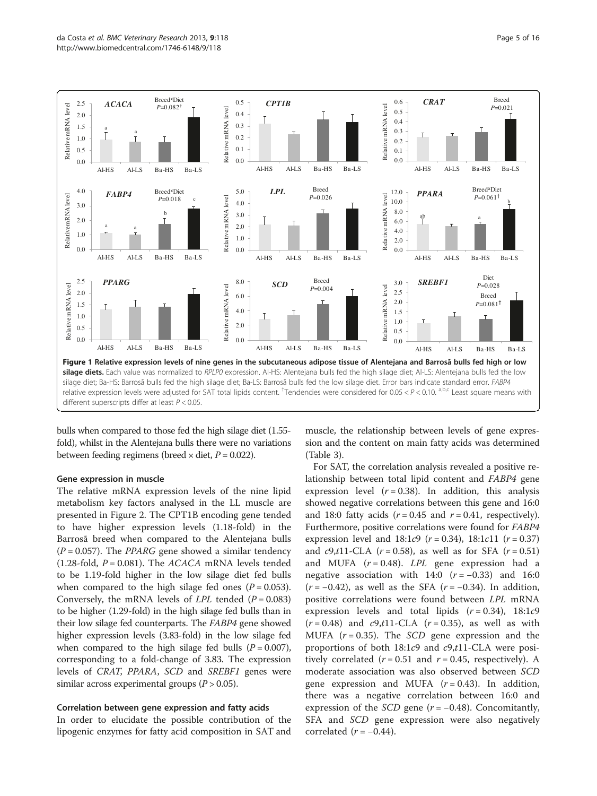<span id="page-4-0"></span>

bulls when compared to those fed the high silage diet (1.55 fold), whilst in the Alentejana bulls there were no variations between feeding regimens (breed  $\times$  diet,  $P = 0.022$ ).

#### Gene expression in muscle

The relative mRNA expression levels of the nine lipid metabolism key factors analysed in the LL muscle are presented in Figure [2.](#page-5-0) The CPT1B encoding gene tended to have higher expression levels (1.18-fold) in the Barrosã breed when compared to the Alentejana bulls  $(P = 0.057)$ . The *PPARG* gene showed a similar tendency  $(1.28\text{-fold}, P = 0.081)$ . The *ACACA* mRNA levels tended to be 1.19-fold higher in the low silage diet fed bulls when compared to the high silage fed ones ( $P = 0.053$ ). Conversely, the mRNA levels of *LPL* tended  $(P = 0.083)$ to be higher (1.29-fold) in the high silage fed bulls than in their low silage fed counterparts. The FABP4 gene showed higher expression levels (3.83-fold) in the low silage fed when compared to the high silage fed bulls  $(P = 0.007)$ , corresponding to a fold-change of 3.83. The expression levels of CRAT, PPARA, SCD and SREBF1 genes were similar across experimental groups  $(P > 0.05)$ .

#### Correlation between gene expression and fatty acids

In order to elucidate the possible contribution of the lipogenic enzymes for fatty acid composition in SAT and muscle, the relationship between levels of gene expression and the content on main fatty acids was determined (Table [3\)](#page-6-0).

For SAT, the correlation analysis revealed a positive relationship between total lipid content and FABP4 gene expression level  $(r = 0.38)$ . In addition, this analysis showed negative correlations between this gene and 16:0 and 18:0 fatty acids  $(r = 0.45$  and  $r = 0.41$ , respectively). Furthermore, positive correlations were found for FABP4 expression level and  $18:1c9$  ( $r = 0.34$ ),  $18:1c11$  ( $r = 0.37$ ) and *c*9,*t*11-CLA ( $r = 0.58$ ), as well as for SFA ( $r = 0.51$ ) and MUFA  $(r = 0.48)$ . LPL gene expression had a negative association with 14:0  $(r = -0.33)$  and 16:0  $(r = -0.42)$ , as well as the SFA  $(r = -0.34)$ . In addition, positive correlations were found between LPL mRNA expression levels and total lipids  $(r = 0.34)$ , 18:1*c*9  $(r = 0.48)$  and  $c9, t11$ -CLA  $(r = 0.35)$ , as well as with MUFA  $(r = 0.35)$ . The *SCD* gene expression and the proportions of both 18:1c9 and c9,t11-CLA were positively correlated ( $r = 0.51$  and  $r = 0.45$ , respectively). A moderate association was also observed between SCD gene expression and MUFA  $(r = 0.43)$ . In addition, there was a negative correlation between 16:0 and expression of the *SCD* gene  $(r = -0.48)$ . Concomitantly, SFA and SCD gene expression were also negatively correlated  $(r = -0.44)$ .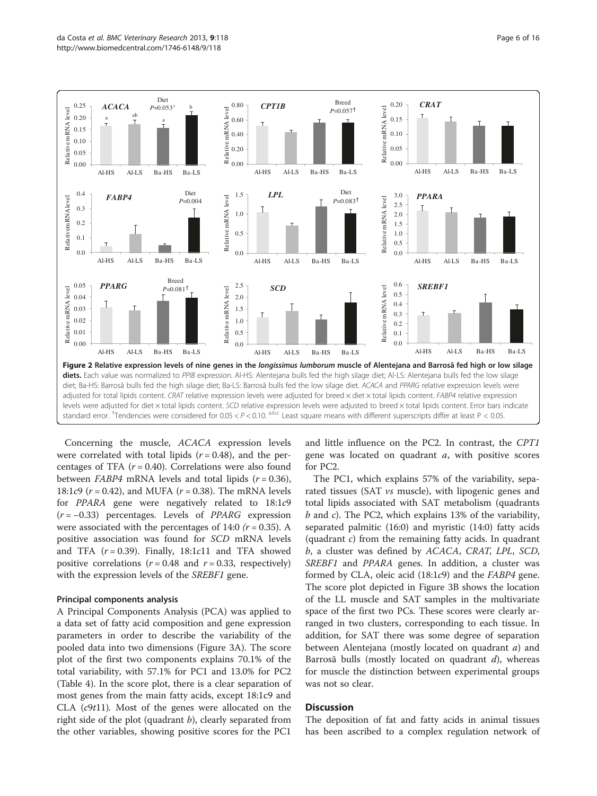<span id="page-5-0"></span>

Concerning the muscle, ACACA expression levels were correlated with total lipids  $(r = 0.48)$ , and the percentages of TFA  $(r = 0.40)$ . Correlations were also found between  $FABP4$  mRNA levels and total lipids ( $r = 0.36$ ), 18:1c9 ( $r = 0.42$ ), and MUFA ( $r = 0.38$ ). The mRNA levels for PPARA gene were negatively related to 18:1c9  $(r = -0.33)$  percentages. Levels of *PPARG* expression were associated with the percentages of 14:0  $(r = 0.35)$ . A positive association was found for SCD mRNA levels and TFA  $(r = 0.39)$ . Finally, 18:1c11 and TFA showed positive correlations ( $r = 0.48$  and  $r = 0.33$ , respectively) with the expression levels of the *SREBF1* gene.

#### Principal components analysis

A Principal Components Analysis (PCA) was applied to a data set of fatty acid composition and gene expression parameters in order to describe the variability of the pooled data into two dimensions (Figure [3A](#page-6-0)). The score plot of the first two components explains 70.1% of the total variability, with 57.1% for PC1 and 13.0% for PC2 (Table [4](#page-7-0)). In the score plot, there is a clear separation of most genes from the main fatty acids, except 18:1c9 and CLA (c9t11). Most of the genes were allocated on the right side of the plot (quadrant  $b$ ), clearly separated from the other variables, showing positive scores for the PC1

and little influence on the PC2. In contrast, the CPT1 gene was located on quadrant  $a$ , with positive scores for PC2.

The PC1, which explains 57% of the variability, separated tissues (SAT vs muscle), with lipogenic genes and total lipids associated with SAT metabolism (quadrants b and c). The PC2, which explains 13% of the variability, separated palmitic (16:0) and myristic (14:0) fatty acids (quadrant  $c$ ) from the remaining fatty acids. In quadrant b, a cluster was defined by ACACA, CRAT, LPL, SCD, SREBF1 and PPARA genes. In addition, a cluster was formed by CLA, oleic acid (18:1c9) and the FABP4 gene. The score plot depicted in Figure [3](#page-6-0)B shows the location of the LL muscle and SAT samples in the multivariate space of the first two PCs. These scores were clearly arranged in two clusters, corresponding to each tissue. In addition, for SAT there was some degree of separation between Alentejana (mostly located on quadrant a) and Barrosã bulls (mostly located on quadrant  $d$ ), whereas for muscle the distinction between experimental groups was not so clear.

#### Discussion

The deposition of fat and fatty acids in animal tissues has been ascribed to a complex regulation network of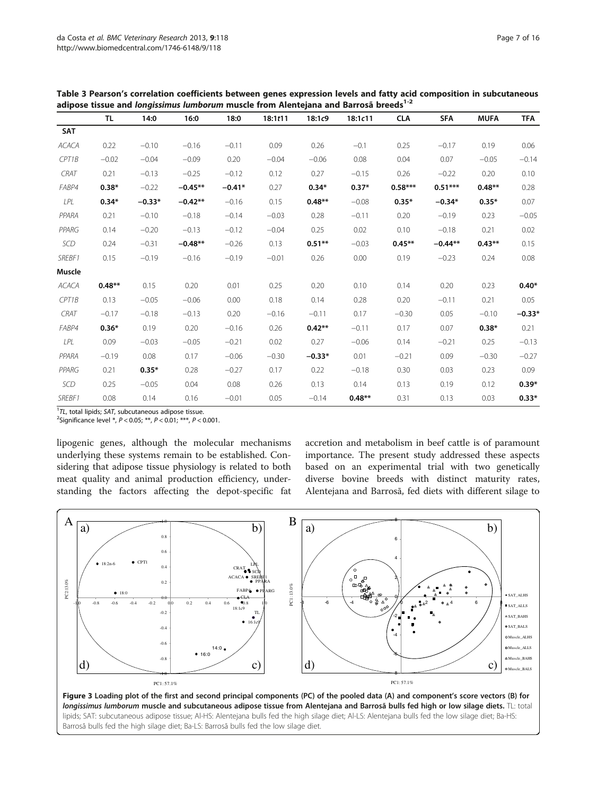|              | TL       | 14:0     | 16:0      | 18:0     | 18:1t11 | 18:1c9   | 18:1c11  | <b>CLA</b> | <b>SFA</b> | <b>MUFA</b> | <b>TFA</b> |
|--------------|----------|----------|-----------|----------|---------|----------|----------|------------|------------|-------------|------------|
| SAT          |          |          |           |          |         |          |          |            |            |             |            |
| <b>ACACA</b> | 0.22     | $-0.10$  | $-0.16$   | $-0.11$  | 0.09    | 0.26     | $-0.1$   | 0.25       | $-0.17$    | 0.19        | 0.06       |
| CPT1B        | $-0.02$  | $-0.04$  | $-0.09$   | 0.20     | $-0.04$ | $-0.06$  | 0.08     | 0.04       | 0.07       | $-0.05$     | $-0.14$    |
| <b>CRAT</b>  | 0.21     | $-0.13$  | $-0.25$   | $-0.12$  | 0.12    | 0.27     | $-0.15$  | 0.26       | $-0.22$    | 0.20        | 0.10       |
| FABP4        | $0.38*$  | $-0.22$  | $-0.45**$ | $-0.41*$ | 0.27    | $0.34*$  | $0.37*$  | $0.58***$  | $0.51***$  | $0.48**$    | 0.28       |
| LPL          | $0.34*$  | $-0.33*$ | $-0.42**$ | $-0.16$  | 0.15    | $0.48**$ | $-0.08$  | $0.35*$    | $-0.34*$   | $0.35*$     | 0.07       |
| PPARA        | 0.21     | $-0.10$  | $-0.18$   | $-0.14$  | $-0.03$ | 0.28     | $-0.11$  | 0.20       | $-0.19$    | 0.23        | $-0.05$    |
| PPARG        | 0.14     | $-0.20$  | $-0.13$   | $-0.12$  | $-0.04$ | 0.25     | 0.02     | 0.10       | $-0.18$    | 0.21        | 0.02       |
| SCD          | 0.24     | $-0.31$  | $-0.48**$ | $-0.26$  | 0.13    | $0.51**$ | $-0.03$  | $0.45**$   | $-0.44**$  | $0.43**$    | 0.15       |
| SREBF1       | 0.15     | $-0.19$  | $-0.16$   | $-0.19$  | $-0.01$ | 0.26     | 0.00     | 0.19       | $-0.23$    | 0.24        | 0.08       |
| Muscle       |          |          |           |          |         |          |          |            |            |             |            |
| <b>ACACA</b> | $0.48**$ | 0.15     | 0.20      | 0.01     | 0.25    | 0.20     | 0.10     | 0.14       | 0.20       | 0.23        | $0.40*$    |
| CPT1B        | 0.13     | $-0.05$  | $-0.06$   | 0.00     | 0.18    | 0.14     | 0.28     | 0.20       | $-0.11$    | 0.21        | 0.05       |
| CRAT         | $-0.17$  | $-0.18$  | $-0.13$   | 0.20     | $-0.16$ | $-0.11$  | 0.17     | $-0.30$    | 0.05       | $-0.10$     | $-0.33*$   |
| FABP4        | $0.36*$  | 0.19     | 0.20      | $-0.16$  | 0.26    | $0.42**$ | $-0.11$  | 0.17       | 0.07       | $0.38*$     | 0.21       |
| LPL          | 0.09     | $-0.03$  | $-0.05$   | $-0.21$  | 0.02    | 0.27     | $-0.06$  | 0.14       | $-0.21$    | 0.25        | $-0.13$    |
| PPARA        | $-0.19$  | 0.08     | 0.17      | $-0.06$  | $-0.30$ | $-0.33*$ | 0.01     | $-0.21$    | 0.09       | $-0.30$     | $-0.27$    |
| PPARG        | 0.21     | $0.35*$  | 0.28      | $-0.27$  | 0.17    | 0.22     | $-0.18$  | 0.30       | 0.03       | 0.23        | 0.09       |
| SCD          | 0.25     | $-0.05$  | 0.04      | 0.08     | 0.26    | 0.13     | 0.14     | 0.13       | 0.19       | 0.12        | $0.39*$    |
| SREBF1       | 0.08     | 0.14     | 0.16      | $-0.01$  | 0.05    | $-0.14$  | $0.48**$ | 0.31       | 0.13       | 0.03        | $0.33*$    |

<span id="page-6-0"></span>Table 3 Pearson's correlation coefficients between genes expression levels and fatty acid composition in subcutaneous adipose tissue and *longissimus lumborum* muscle from Alenteiana and Barrosã breeds<sup>1-2</sup>

<sup>1</sup>TL, total lipids; SAT, subcutaneous adipose tissue.<br><sup>2</sup>Significance level \* *P <* 0.05; \*\* *P <* 0.01; \*\*\* *P <* 

<sup>2</sup>Significance level \*,  $P < 0.05$ ; \*\*,  $P < 0.01$ ; \*\*\*,  $P < 0.001$ .

lipogenic genes, although the molecular mechanisms underlying these systems remain to be established. Considering that adipose tissue physiology is related to both meat quality and animal production efficiency, understanding the factors affecting the depot-specific fat

accretion and metabolism in beef cattle is of paramount importance. The present study addressed these aspects based on an experimental trial with two genetically diverse bovine breeds with distinct maturity rates, Alentejana and Barrosã, fed diets with different silage to



Figure 3 Loading plot of the first and second principal components (PC) of the pooled data (A) and component's score vectors (B) for longissimus lumborum muscle and subcutaneous adipose tissue from Alentejana and Barrosã bulls fed high or low silage diets. TL: total lipids; SAT: subcutaneous adipose tissue; Al-HS: Alentejana bulls fed the high silage diet; Al-LS: Alentejana bulls fed the low silage diet; Ba-HS: Barrosã bulls fed the high silage diet; Ba-LS: Barrosã bulls fed the low silage diet.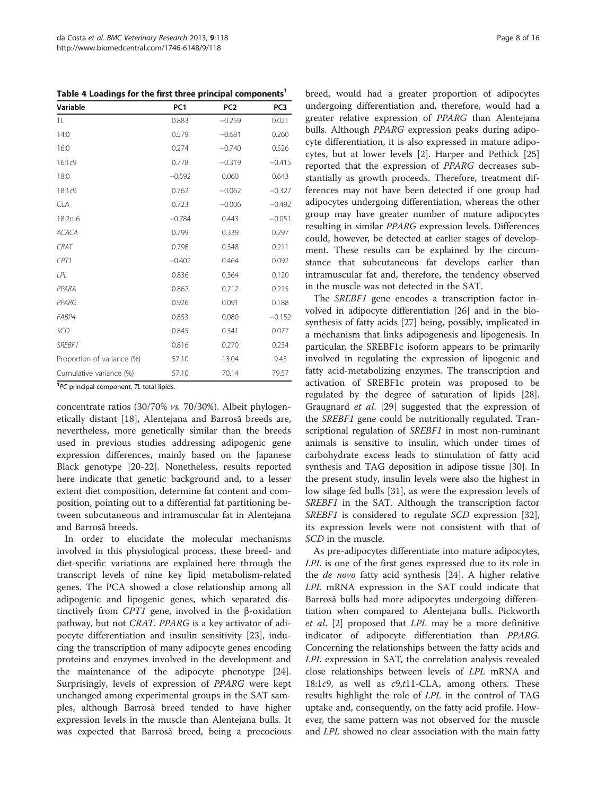<span id="page-7-0"></span>Table 4 Loadings for the first three principal components<sup>1</sup>

| Variable                   | PC <sub>1</sub> | PC <sub>2</sub> | PC <sub>3</sub> |
|----------------------------|-----------------|-----------------|-----------------|
| TL                         | 0.883           | $-0.259$        | 0.021           |
| 14:0                       | 0.579           | $-0.681$        | 0.260           |
| 16:0                       | 0.274           | $-0.740$        | 0.526           |
| 16:1c9                     | 0.778           | $-0.319$        | $-0.415$        |
| 18:0                       | $-0.592$        | 0.060           | 0.643           |
| 18:1c9                     | 0.762           | $-0.062$        | $-0.327$        |
| <b>CLA</b>                 | 0.723           | $-0.006$        | $-0.492$        |
| $18:2n-6$                  | $-0.784$        | 0.443           | $-0.051$        |
| <b>ACACA</b>               | 0.799           | 0.339           | 0.297           |
| <b>CRAT</b>                | 0.798           | 0.348           | 0.211           |
| CPT1                       | $-0.402$        | 0.464           | 0.092           |
| LPL                        | 0.836           | 0.364           | 0.120           |
| PPARA                      | 0.862           | 0.212           | 0.215           |
| PPARG                      | 0.926           | 0.091           | 0.188           |
| FABP4                      | 0.853           | 0.080           | $-0.152$        |
| SCD                        | 0.845           | 0.341           | 0.077           |
| SREBF1                     | 0.816           | 0.270           | 0.234           |
| Proportion of variance (%) | 57.10           | 13.04           | 9.43            |
| Cumulative variance (%)    | 57.10           | 70.14           | 79.57           |

<sup>1</sup>PC principal component, TL total lipids.

concentrate ratios (30/70% vs. 70/30%). Albeit phylogenetically distant [\[18](#page-14-0)], Alentejana and Barrosã breeds are, nevertheless, more genetically similar than the breeds used in previous studies addressing adipogenic gene expression differences, mainly based on the Japanese Black genotype [[20](#page-14-0)-[22\]](#page-14-0). Nonetheless, results reported here indicate that genetic background and, to a lesser extent diet composition, determine fat content and composition, pointing out to a differential fat partitioning between subcutaneous and intramuscular fat in Alentejana and Barrosã breeds.

In order to elucidate the molecular mechanisms involved in this physiological process, these breed- and diet-specific variations are explained here through the transcript levels of nine key lipid metabolism-related genes. The PCA showed a close relationship among all adipogenic and lipogenic genes, which separated distinctively from CPT1 gene, involved in the β-oxidation pathway, but not CRAT. PPARG is a key activator of adipocyte differentiation and insulin sensitivity [[23\]](#page-14-0), inducing the transcription of many adipocyte genes encoding proteins and enzymes involved in the development and the maintenance of the adipocyte phenotype [\[24](#page-14-0)]. Surprisingly, levels of expression of PPARG were kept unchanged among experimental groups in the SAT samples, although Barrosã breed tended to have higher expression levels in the muscle than Alentejana bulls. It was expected that Barrosã breed, being a precocious breed, would had a greater proportion of adipocytes undergoing differentiation and, therefore, would had a greater relative expression of PPARG than Alentejana bulls. Although PPARG expression peaks during adipocyte differentiation, it is also expressed in mature adipocytes, but at lower levels [[2](#page-13-0)]. Harper and Pethick [[25](#page-14-0)] reported that the expression of PPARG decreases substantially as growth proceeds. Therefore, treatment differences may not have been detected if one group had adipocytes undergoing differentiation, whereas the other group may have greater number of mature adipocytes resulting in similar PPARG expression levels. Differences could, however, be detected at earlier stages of development. These results can be explained by the circumstance that subcutaneous fat develops earlier than intramuscular fat and, therefore, the tendency observed in the muscle was not detected in the SAT.

The SREBF1 gene encodes a transcription factor involved in adipocyte differentiation [\[26\]](#page-14-0) and in the biosynthesis of fatty acids [\[27](#page-14-0)] being, possibly, implicated in a mechanism that links adipogenesis and lipogenesis. In particular, the SREBF1c isoform appears to be primarily involved in regulating the expression of lipogenic and fatty acid-metabolizing enzymes. The transcription and activation of SREBF1c protein was proposed to be regulated by the degree of saturation of lipids [\[28](#page-14-0)]. Graugnard et al. [\[29\]](#page-14-0) suggested that the expression of the SREBF1 gene could be nutritionally regulated. Transcriptional regulation of SREBF1 in most non-ruminant animals is sensitive to insulin, which under times of carbohydrate excess leads to stimulation of fatty acid synthesis and TAG deposition in adipose tissue [[30\]](#page-14-0). In the present study, insulin levels were also the highest in low silage fed bulls [[31\]](#page-14-0), as were the expression levels of SREBF1 in the SAT. Although the transcription factor SREBF1 is considered to regulate SCD expression [\[32](#page-14-0)], its expression levels were not consistent with that of SCD in the muscle.

As pre-adipocytes differentiate into mature adipocytes, LPL is one of the first genes expressed due to its role in the de novo fatty acid synthesis [\[24](#page-14-0)]. A higher relative LPL mRNA expression in the SAT could indicate that Barrosã bulls had more adipocytes undergoing differentiation when compared to Alentejana bulls. Pickworth et al. [\[2](#page-13-0)] proposed that LPL may be a more definitive indicator of adipocyte differentiation than PPARG. Concerning the relationships between the fatty acids and LPL expression in SAT, the correlation analysis revealed close relationships between levels of LPL mRNA and 18:1 $c$ 9, as well as  $c$ 9, $t$ 11-CLA, among others. These results highlight the role of LPL in the control of TAG uptake and, consequently, on the fatty acid profile. However, the same pattern was not observed for the muscle and LPL showed no clear association with the main fatty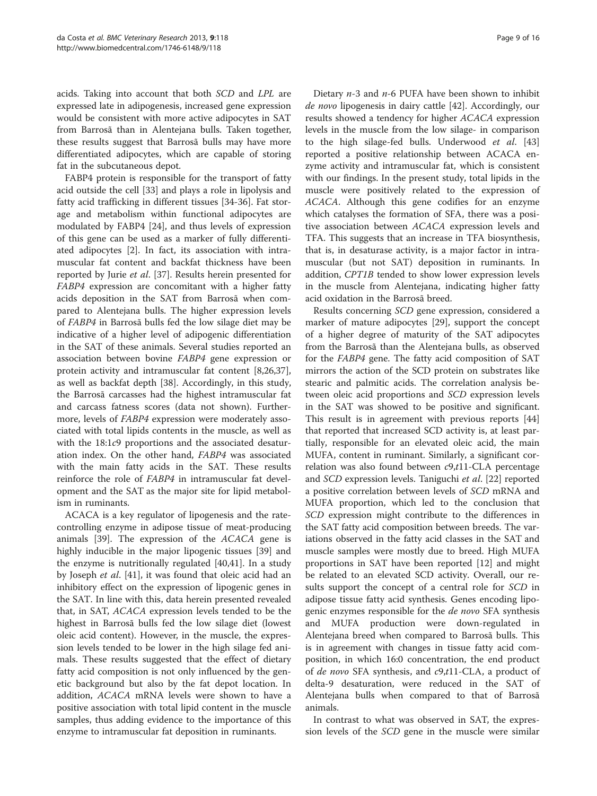acids. Taking into account that both SCD and LPL are expressed late in adipogenesis, increased gene expression would be consistent with more active adipocytes in SAT from Barrosã than in Alentejana bulls. Taken together, these results suggest that Barrosã bulls may have more differentiated adipocytes, which are capable of storing fat in the subcutaneous depot.

FABP4 protein is responsible for the transport of fatty acid outside the cell [\[33\]](#page-14-0) and plays a role in lipolysis and fatty acid trafficking in different tissues [\[34-36](#page-14-0)]. Fat storage and metabolism within functional adipocytes are modulated by FABP4 [[24](#page-14-0)], and thus levels of expression of this gene can be used as a marker of fully differentiated adipocytes [[2\]](#page-13-0). In fact, its association with intramuscular fat content and backfat thickness have been reported by Jurie et al. [[37](#page-14-0)]. Results herein presented for FABP4 expression are concomitant with a higher fatty acids deposition in the SAT from Barrosã when compared to Alentejana bulls. The higher expression levels of FABP4 in Barrosã bulls fed the low silage diet may be indicative of a higher level of adipogenic differentiation in the SAT of these animals. Several studies reported an association between bovine FABP4 gene expression or protein activity and intramuscular fat content [\[8,26,37](#page-14-0)], as well as backfat depth [[38\]](#page-14-0). Accordingly, in this study, the Barrosã carcasses had the highest intramuscular fat and carcass fatness scores (data not shown). Furthermore, levels of FABP4 expression were moderately associated with total lipids contents in the muscle, as well as with the 18:1c9 proportions and the associated desaturation index. On the other hand, FABP4 was associated with the main fatty acids in the SAT. These results reinforce the role of FABP4 in intramuscular fat development and the SAT as the major site for lipid metabolism in ruminants.

ACACA is a key regulator of lipogenesis and the ratecontrolling enzyme in adipose tissue of meat-producing animals [[39\]](#page-14-0). The expression of the ACACA gene is highly inducible in the major lipogenic tissues [[39](#page-14-0)] and the enzyme is nutritionally regulated [\[40,41\]](#page-14-0). In a study by Joseph et al. [\[41](#page-14-0)], it was found that oleic acid had an inhibitory effect on the expression of lipogenic genes in the SAT. In line with this, data herein presented revealed that, in SAT, ACACA expression levels tended to be the highest in Barrosã bulls fed the low silage diet (lowest oleic acid content). However, in the muscle, the expression levels tended to be lower in the high silage fed animals. These results suggested that the effect of dietary fatty acid composition is not only influenced by the genetic background but also by the fat depot location. In addition, ACACA mRNA levels were shown to have a positive association with total lipid content in the muscle samples, thus adding evidence to the importance of this enzyme to intramuscular fat deposition in ruminants.

Dietary  $n-3$  and  $n-6$  PUFA have been shown to inhibit de novo lipogenesis in dairy cattle [\[42\]](#page-14-0). Accordingly, our results showed a tendency for higher ACACA expression levels in the muscle from the low silage- in comparison to the high silage-fed bulls. Underwood et al. [[43](#page-14-0)] reported a positive relationship between ACACA enzyme activity and intramuscular fat, which is consistent with our findings. In the present study, total lipids in the muscle were positively related to the expression of ACACA. Although this gene codifies for an enzyme which catalyses the formation of SFA, there was a positive association between ACACA expression levels and TFA. This suggests that an increase in TFA biosynthesis, that is, in desaturase activity, is a major factor in intramuscular (but not SAT) deposition in ruminants. In addition, CPT1B tended to show lower expression levels in the muscle from Alentejana, indicating higher fatty acid oxidation in the Barrosã breed.

Results concerning SCD gene expression, considered a marker of mature adipocytes [\[29\]](#page-14-0), support the concept of a higher degree of maturity of the SAT adipocytes from the Barrosã than the Alentejana bulls, as observed for the FABP4 gene. The fatty acid composition of SAT mirrors the action of the SCD protein on substrates like stearic and palmitic acids. The correlation analysis between oleic acid proportions and SCD expression levels in the SAT was showed to be positive and significant. This result is in agreement with previous reports [[44](#page-14-0)] that reported that increased SCD activity is, at least partially, responsible for an elevated oleic acid, the main MUFA, content in ruminant. Similarly, a significant correlation was also found between  $c$ 9, $t$ 11-CLA percentage and SCD expression levels. Taniguchi et al. [[22\]](#page-14-0) reported a positive correlation between levels of SCD mRNA and MUFA proportion, which led to the conclusion that SCD expression might contribute to the differences in the SAT fatty acid composition between breeds. The variations observed in the fatty acid classes in the SAT and muscle samples were mostly due to breed. High MUFA proportions in SAT have been reported [[12](#page-14-0)] and might be related to an elevated SCD activity. Overall, our results support the concept of a central role for SCD in adipose tissue fatty acid synthesis. Genes encoding lipogenic enzymes responsible for the de novo SFA synthesis and MUFA production were down-regulated in Alentejana breed when compared to Barrosã bulls. This is in agreement with changes in tissue fatty acid composition, in which 16:0 concentration, the end product of de novo SFA synthesis, and c9,t11-CLA, a product of delta-9 desaturation, were reduced in the SAT of Alentejana bulls when compared to that of Barrosã animals.

In contrast to what was observed in SAT, the expression levels of the SCD gene in the muscle were similar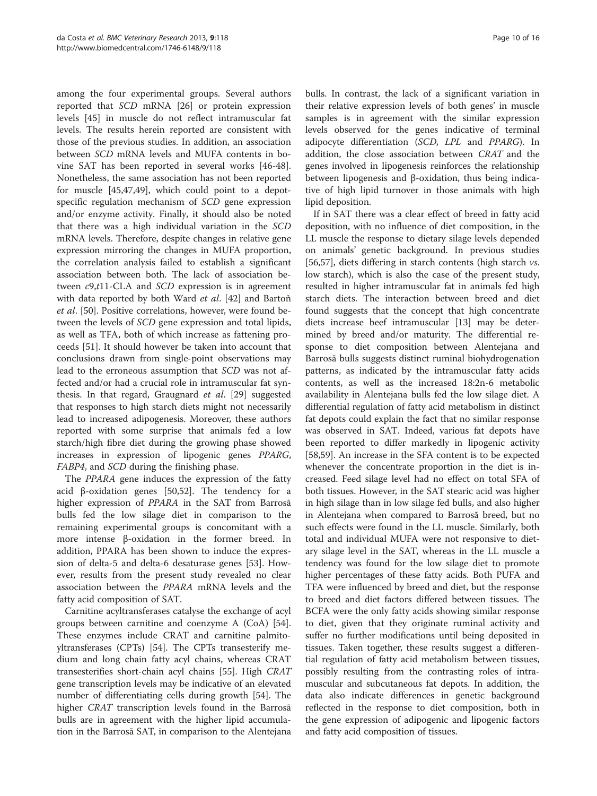among the four experimental groups. Several authors reported that SCD mRNA [[26\]](#page-14-0) or protein expression levels [\[45](#page-14-0)] in muscle do not reflect intramuscular fat levels. The results herein reported are consistent with those of the previous studies. In addition, an association between SCD mRNA levels and MUFA contents in bovine SAT has been reported in several works [\[46](#page-14-0)[-48](#page-15-0)]. Nonetheless, the same association has not been reported for muscle [\[45,](#page-14-0)[47,49\]](#page-15-0), which could point to a depotspecific regulation mechanism of SCD gene expression and/or enzyme activity. Finally, it should also be noted that there was a high individual variation in the SCD mRNA levels. Therefore, despite changes in relative gene expression mirroring the changes in MUFA proportion, the correlation analysis failed to establish a significant association between both. The lack of association between  $c9,t11$ -CLA and  $SCD$  expression is in agreement with data reported by both Ward et al. [[42](#page-14-0)] and Bartoň et al. [\[50](#page-15-0)]. Positive correlations, however, were found between the levels of SCD gene expression and total lipids, as well as TFA, both of which increase as fattening proceeds [\[51](#page-15-0)]. It should however be taken into account that conclusions drawn from single-point observations may lead to the erroneous assumption that SCD was not affected and/or had a crucial role in intramuscular fat synthesis. In that regard, Graugnard et al. [\[29](#page-14-0)] suggested that responses to high starch diets might not necessarily lead to increased adipogenesis. Moreover, these authors reported with some surprise that animals fed a low starch/high fibre diet during the growing phase showed increases in expression of lipogenic genes PPARG, FABP4, and SCD during the finishing phase.

The PPARA gene induces the expression of the fatty acid β-oxidation genes [[50,52\]](#page-15-0). The tendency for a higher expression of PPARA in the SAT from Barrosã bulls fed the low silage diet in comparison to the remaining experimental groups is concomitant with a more intense β-oxidation in the former breed. In addition, PPARA has been shown to induce the expression of delta-5 and delta-6 desaturase genes [\[53](#page-15-0)]. However, results from the present study revealed no clear association between the PPARA mRNA levels and the fatty acid composition of SAT.

Carnitine acyltransferases catalyse the exchange of acyl groups between carnitine and coenzyme A (CoA) [\[54](#page-15-0)]. These enzymes include CRAT and carnitine palmitoyltransferases (CPTs) [\[54](#page-15-0)]. The CPTs transesterify medium and long chain fatty acyl chains, whereas CRAT transesterifies short-chain acyl chains [[55\]](#page-15-0). High CRAT gene transcription levels may be indicative of an elevated number of differentiating cells during growth [\[54\]](#page-15-0). The higher CRAT transcription levels found in the Barrosã bulls are in agreement with the higher lipid accumulation in the Barrosã SAT, in comparison to the Alentejana

bulls. In contrast, the lack of a significant variation in their relative expression levels of both genes' in muscle samples is in agreement with the similar expression levels observed for the genes indicative of terminal adipocyte differentiation (SCD, LPL and PPARG). In addition, the close association between CRAT and the genes involved in lipogenesis reinforces the relationship between lipogenesis and β-oxidation, thus being indicative of high lipid turnover in those animals with high lipid deposition.

If in SAT there was a clear effect of breed in fatty acid deposition, with no influence of diet composition, in the LL muscle the response to dietary silage levels depended on animals' genetic background. In previous studies [[56,57\]](#page-15-0), diets differing in starch contents (high starch vs. low starch), which is also the case of the present study, resulted in higher intramuscular fat in animals fed high starch diets. The interaction between breed and diet found suggests that the concept that high concentrate diets increase beef intramuscular [\[13](#page-14-0)] may be determined by breed and/or maturity. The differential response to diet composition between Alentejana and Barrosã bulls suggests distinct ruminal biohydrogenation patterns, as indicated by the intramuscular fatty acids contents, as well as the increased 18:2n-6 metabolic availability in Alentejana bulls fed the low silage diet. A differential regulation of fatty acid metabolism in distinct fat depots could explain the fact that no similar response was observed in SAT. Indeed, various fat depots have been reported to differ markedly in lipogenic activity [[58,59\]](#page-15-0). An increase in the SFA content is to be expected whenever the concentrate proportion in the diet is increased. Feed silage level had no effect on total SFA of both tissues. However, in the SAT stearic acid was higher in high silage than in low silage fed bulls, and also higher in Alentejana when compared to Barrosã breed, but no such effects were found in the LL muscle. Similarly, both total and individual MUFA were not responsive to dietary silage level in the SAT, whereas in the LL muscle a tendency was found for the low silage diet to promote higher percentages of these fatty acids. Both PUFA and TFA were influenced by breed and diet, but the response to breed and diet factors differed between tissues. The BCFA were the only fatty acids showing similar response to diet, given that they originate ruminal activity and suffer no further modifications until being deposited in tissues. Taken together, these results suggest a differential regulation of fatty acid metabolism between tissues, possibly resulting from the contrasting roles of intramuscular and subcutaneous fat depots. In addition, the data also indicate differences in genetic background reflected in the response to diet composition, both in the gene expression of adipogenic and lipogenic factors and fatty acid composition of tissues.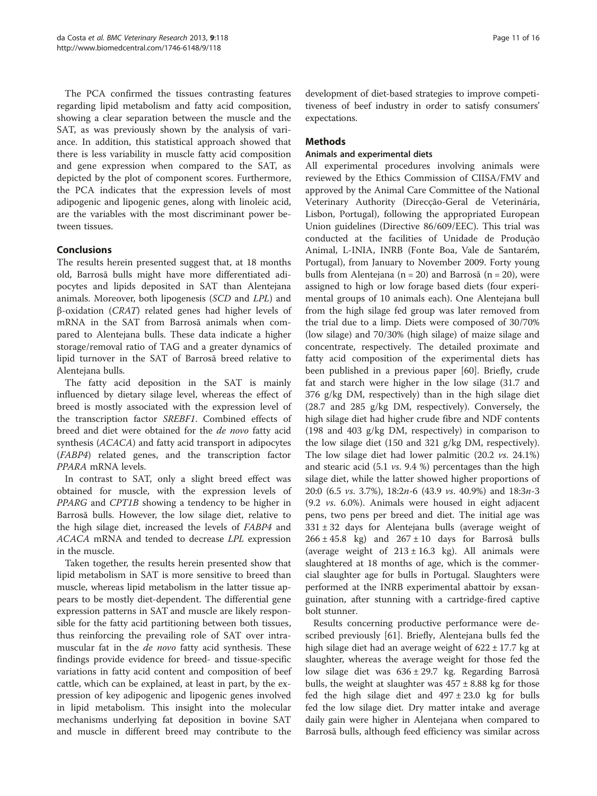The PCA confirmed the tissues contrasting features regarding lipid metabolism and fatty acid composition, showing a clear separation between the muscle and the SAT, as was previously shown by the analysis of variance. In addition, this statistical approach showed that there is less variability in muscle fatty acid composition and gene expression when compared to the SAT, as depicted by the plot of component scores. Furthermore, the PCA indicates that the expression levels of most adipogenic and lipogenic genes, along with linoleic acid, are the variables with the most discriminant power between tissues.

## Conclusions

The results herein presented suggest that, at 18 months old, Barrosã bulls might have more differentiated adipocytes and lipids deposited in SAT than Alentejana animals. Moreover, both lipogenesis (SCD and LPL) and β-oxidation (CRAT) related genes had higher levels of mRNA in the SAT from Barrosã animals when compared to Alentejana bulls. These data indicate a higher storage/removal ratio of TAG and a greater dynamics of lipid turnover in the SAT of Barrosã breed relative to Alentejana bulls.

The fatty acid deposition in the SAT is mainly influenced by dietary silage level, whereas the effect of breed is mostly associated with the expression level of the transcription factor SREBF1. Combined effects of breed and diet were obtained for the de novo fatty acid synthesis (ACACA) and fatty acid transport in adipocytes (FABP4) related genes, and the transcription factor PPARA mRNA levels.

In contrast to SAT, only a slight breed effect was obtained for muscle, with the expression levels of PPARG and CPT1B showing a tendency to be higher in Barrosã bulls. However, the low silage diet, relative to the high silage diet, increased the levels of FABP4 and ACACA mRNA and tended to decrease LPL expression in the muscle.

Taken together, the results herein presented show that lipid metabolism in SAT is more sensitive to breed than muscle, whereas lipid metabolism in the latter tissue appears to be mostly diet-dependent. The differential gene expression patterns in SAT and muscle are likely responsible for the fatty acid partitioning between both tissues, thus reinforcing the prevailing role of SAT over intramuscular fat in the de novo fatty acid synthesis. These findings provide evidence for breed- and tissue-specific variations in fatty acid content and composition of beef cattle, which can be explained, at least in part, by the expression of key adipogenic and lipogenic genes involved in lipid metabolism. This insight into the molecular mechanisms underlying fat deposition in bovine SAT and muscle in different breed may contribute to the development of diet-based strategies to improve competitiveness of beef industry in order to satisfy consumers' expectations.

## Methods

## Animals and experimental diets

All experimental procedures involving animals were reviewed by the Ethics Commission of CIISA/FMV and approved by the Animal Care Committee of the National Veterinary Authority (Direcção-Geral de Veterinária, Lisbon, Portugal), following the appropriated European Union guidelines (Directive 86/609/EEC). This trial was conducted at the facilities of Unidade de Produção Animal, L-INIA, INRB (Fonte Boa, Vale de Santarém, Portugal), from January to November 2009. Forty young bulls from Alentejana (n = 20) and Barrosã (n = 20), were assigned to high or low forage based diets (four experimental groups of 10 animals each). One Alentejana bull from the high silage fed group was later removed from the trial due to a limp. Diets were composed of 30/70% (low silage) and 70/30% (high silage) of maize silage and concentrate, respectively. The detailed proximate and fatty acid composition of the experimental diets has been published in a previous paper [\[60\]](#page-15-0). Briefly, crude fat and starch were higher in the low silage (31.7 and 376 g/kg DM, respectively) than in the high silage diet (28.7 and 285 g/kg DM, respectively). Conversely, the high silage diet had higher crude fibre and NDF contents (198 and 403 g/kg DM, respectively) in comparison to the low silage diet (150 and 321 g/kg DM, respectively). The low silage diet had lower palmitic  $(20.2 \text{ vs. } 24.1\%)$ and stearic acid (5.1 vs. 9.4 %) percentages than the high silage diet, while the latter showed higher proportions of 20:0 (6.5 vs. 3.7%), 18:2n-6 (43.9 vs. 40.9%) and 18:3n-3 (9.2 vs. 6.0%). Animals were housed in eight adjacent pens, two pens per breed and diet. The initial age was  $331 \pm 32$  days for Alentejana bulls (average weight of  $266 \pm 45.8$  kg) and  $267 \pm 10$  days for Barrosã bulls (average weight of  $213 \pm 16.3$  kg). All animals were slaughtered at 18 months of age, which is the commercial slaughter age for bulls in Portugal. Slaughters were performed at the INRB experimental abattoir by exsanguination, after stunning with a cartridge-fired captive bolt stunner.

Results concerning productive performance were described previously [[61\]](#page-15-0). Briefly, Alentejana bulls fed the high silage diet had an average weight of  $622 \pm 17.7$  kg at slaughter, whereas the average weight for those fed the low silage diet was 636 ± 29.7 kg. Regarding Barrosã bulls, the weight at slaughter was  $457 \pm 8.88$  kg for those fed the high silage diet and  $497 \pm 23.0$  kg for bulls fed the low silage diet. Dry matter intake and average daily gain were higher in Alentejana when compared to Barrosã bulls, although feed efficiency was similar across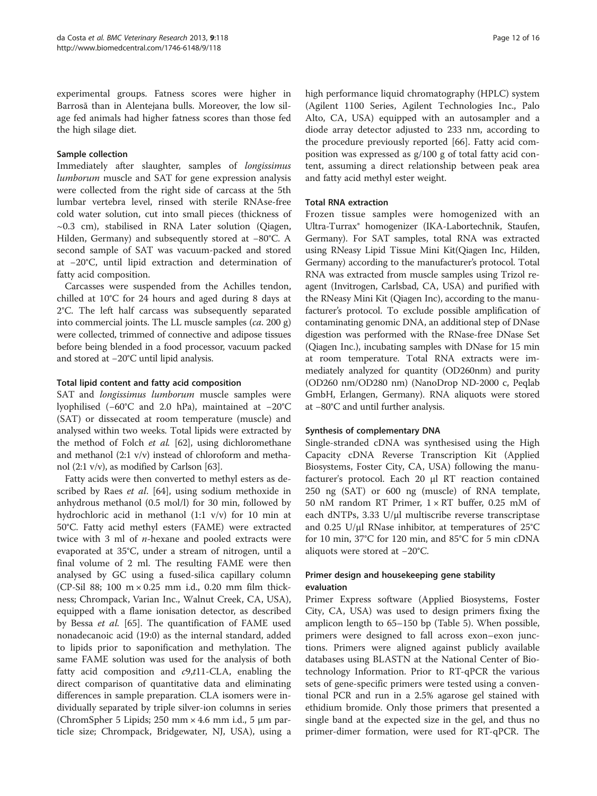experimental groups. Fatness scores were higher in Barrosã than in Alentejana bulls. Moreover, the low silage fed animals had higher fatness scores than those fed the high silage diet.

#### Sample collection

Immediately after slaughter, samples of longissimus lumborum muscle and SAT for gene expression analysis were collected from the right side of carcass at the 5th lumbar vertebra level, rinsed with sterile RNAse-free cold water solution, cut into small pieces (thickness of ~0.3 cm), stabilised in RNA Later solution (Qiagen, Hilden, Germany) and subsequently stored at −80°C. A second sample of SAT was vacuum-packed and stored at −20°C, until lipid extraction and determination of fatty acid composition.

Carcasses were suspended from the Achilles tendon, chilled at 10°C for 24 hours and aged during 8 days at 2°C. The left half carcass was subsequently separated into commercial joints. The LL muscle samples (ca. 200 g) were collected, trimmed of connective and adipose tissues before being blended in a food processor, vacuum packed and stored at −20°C until lipid analysis.

#### Total lipid content and fatty acid composition

SAT and *longissimus lumborum* muscle samples were lyophilised (−60°C and 2.0 hPa), maintained at −20°C (SAT) or dissecated at room temperature (muscle) and analysed within two weeks. Total lipids were extracted by the method of Folch et al. [\[62](#page-15-0)], using dichloromethane and methanol (2:1 v/v) instead of chloroform and methanol (2:1 v/v), as modified by Carlson [\[63\]](#page-15-0).

Fatty acids were then converted to methyl esters as de-scribed by Raes et al. [[64](#page-15-0)], using sodium methoxide in anhydrous methanol (0.5 mol/l) for 30 min, followed by hydrochloric acid in methanol (1:1 v/v) for 10 min at 50°C. Fatty acid methyl esters (FAME) were extracted twice with 3 ml of  $n$ -hexane and pooled extracts were evaporated at 35°C, under a stream of nitrogen, until a final volume of 2 ml. The resulting FAME were then analysed by GC using a fused-silica capillary column (CP-Sil 88; 100  $m \times 0.25$  mm i.d., 0.20 mm film thickness; Chrompack, Varian Inc., Walnut Creek, CA, USA), equipped with a flame ionisation detector, as described by Bessa et al. [\[65\]](#page-15-0). The quantification of FAME used nonadecanoic acid (19:0) as the internal standard, added to lipids prior to saponification and methylation. The same FAME solution was used for the analysis of both fatty acid composition and  $c9, t11$ -CLA, enabling the direct comparison of quantitative data and eliminating differences in sample preparation. CLA isomers were individually separated by triple silver-ion columns in series (ChromSpher 5 Lipids; 250 mm  $\times$  4.6 mm i.d., 5 µm particle size; Chrompack, Bridgewater, NJ, USA), using a high performance liquid chromatography (HPLC) system (Agilent 1100 Series, Agilent Technologies Inc., Palo Alto, CA, USA) equipped with an autosampler and a diode array detector adjusted to 233 nm, according to the procedure previously reported [\[66\]](#page-15-0). Fatty acid composition was expressed as g/100 g of total fatty acid content, assuming a direct relationship between peak area and fatty acid methyl ester weight.

## Total RNA extraction

Frozen tissue samples were homogenized with an Ultra-Turrax® homogenizer (IKA-Labortechnik, Staufen, Germany). For SAT samples, total RNA was extracted using RNeasy Lipid Tissue Mini Kit(Qiagen Inc, Hilden, Germany) according to the manufacturer's protocol. Total RNA was extracted from muscle samples using Trizol reagent (Invitrogen, Carlsbad, CA, USA) and purified with the RNeasy Mini Kit (Qiagen Inc), according to the manufacturer's protocol. To exclude possible amplification of contaminating genomic DNA, an additional step of DNase digestion was performed with the RNase-free DNase Set (Qiagen Inc.), incubating samples with DNase for 15 min at room temperature. Total RNA extracts were immediately analyzed for quantity (OD260nm) and purity (OD260 nm/OD280 nm) (NanoDrop ND-2000 c, Peqlab GmbH, Erlangen, Germany). RNA aliquots were stored at −80°C and until further analysis.

## Synthesis of complementary DNA

Single-stranded cDNA was synthesised using the High Capacity cDNA Reverse Transcription Kit (Applied Biosystems, Foster City, CA, USA) following the manufacturer's protocol. Each 20 μl RT reaction contained 250 ng (SAT) or 600 ng (muscle) of RNA template, 50 nM random RT Primer,  $1 \times RT$  buffer, 0.25 mM of each dNTPs, 3.33 U/μl multiscribe reverse transcriptase and 0.25 U/ $\mu$ l RNase inhibitor, at temperatures of 25°C for 10 min, 37°C for 120 min, and 85°C for 5 min cDNA aliquots were stored at −20°C.

## Primer design and housekeeping gene stability evaluation

Primer Express software (Applied Biosystems, Foster City, CA, USA) was used to design primers fixing the amplicon length to 65–150 bp (Table [5](#page-12-0)). When possible, primers were designed to fall across exon–exon junctions. Primers were aligned against publicly available databases using BLASTN at the National Center of Biotechnology Information. Prior to RT-qPCR the various sets of gene-specific primers were tested using a conventional PCR and run in a 2.5% agarose gel stained with ethidium bromide. Only those primers that presented a single band at the expected size in the gel, and thus no primer-dimer formation, were used for RT-qPCR. The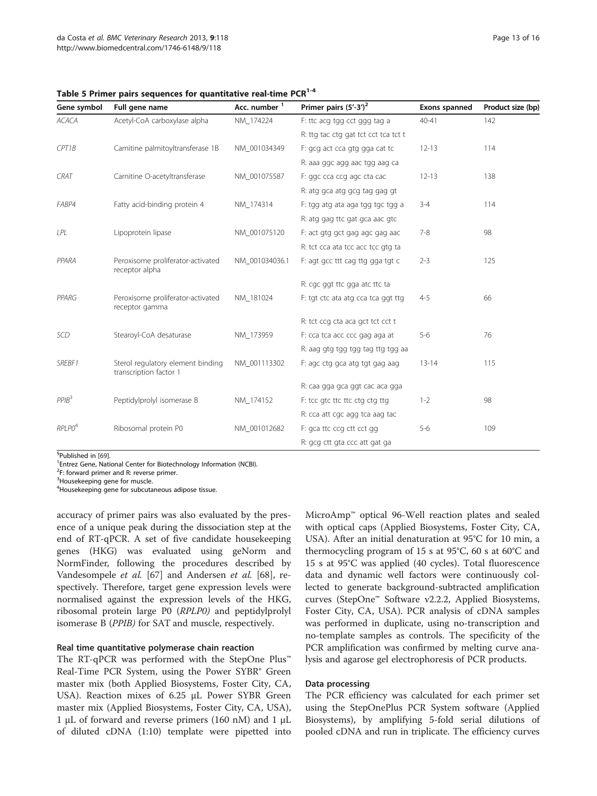<span id="page-12-0"></span>Table 5 Primer pairs sequences for quantitative real-time PCR<sup>1-4</sup>

| Gene symbol        | Full gene name                                              | Acc. number <sup>1</sup> | Primer pairs $(5'$ -3') <sup>2</sup> | Exons spanned | Product size (bp) |
|--------------------|-------------------------------------------------------------|--------------------------|--------------------------------------|---------------|-------------------|
| ACACA              | Acetyl-CoA carboxylase alpha                                | NM_174224                | F: ttc acg tgg cct ggg tag a         | $40 - 41$     | 142               |
|                    |                                                             |                          | R: ttg tac ctg gat tct cct tca tct t |               |                   |
| CPT1B              | Carnitine palmitoyltransferase 1B                           | NM 001034349             | F: gcg act cca gtg gga cat tc        | $12 - 13$     | 114               |
|                    |                                                             |                          | R: aaa ggc agg aac tgg aag ca        |               |                   |
| CRAT               | Carnitine O-acetyltransferase                               | NM 001075587             | F: ggc cca ccg agc cta cac           | $12 - 13$     | 138               |
|                    |                                                             |                          | R: atg gca atg gcg tag gag gt        |               |                   |
| FABP4              | Fatty acid-binding protein 4                                | NM 174314                | F: tgg atg ata aga tgg tgc tgg a     | $3 - 4$       | 114               |
|                    |                                                             |                          | R: atg gag ttc gat gca aac gtc       |               |                   |
| LPL                | Lipoprotein lipase                                          | NM_001075120             | F: act gtg gct gag agc gag aac       | $7 - 8$       | 98                |
|                    |                                                             |                          | R: tct cca ata tcc acc tcc gtg ta    |               |                   |
| PPARA              | Peroxisome proliferator-activated<br>receptor alpha         | NM 001034036.1           | F: agt gcc ttt cag ttg gga tgt c     | $2 - 3$       | 125               |
|                    |                                                             |                          | R: cgc ggt ttc gga atc ttc ta        |               |                   |
| PPARG              | Peroxisome proliferator-activated<br>receptor gamma         | NM 181024                | F: tgt ctc ata atg cca tca ggt ttg   | $4 - 5$       | 66                |
|                    |                                                             |                          | R: tct ccq cta aca gct tct cct t     |               |                   |
| SCD                | Stearoyl-CoA desaturase                                     | NM 173959                | F: cca tca acc ccc gag aga at        | $5 - 6$       | 76                |
|                    |                                                             |                          | R: aag gtg tgg tgg tag ttg tgg aa    |               |                   |
| SREBF1             | Sterol regulatory element binding<br>transcription factor 1 | NM 001113302             | F: agc ctg gca atg tgt gag aag       | $13 - 14$     | 115               |
|                    |                                                             |                          | R: caa gga gca ggt cac aca gga       |               |                   |
| PPIB <sup>3</sup>  | Peptidylprolyl isomerase B                                  | NM 174152                | F: tcc gtc ttc ttc ctg ctg ttg       | $1 - 2$       | 98                |
|                    |                                                             |                          | R: cca att cgc agg tca aag tac       |               |                   |
| RPLPO <sup>4</sup> | Ribosomal protein P0                                        | NM_001012682             | F: gca ttc ccg ctt cct gg            | $5 - 6$       | 109               |
|                    |                                                             |                          | R: gcg ctt gta ccc att gat ga        |               |                   |

<sup>§</sup>Published in [[69\]](#page-15-0).<br><sup>1</sup>Entrez Gene, Nati

<sup>1</sup> Entrez Gene, National Center for Biotechnology Information (NCBI).

<sup>2</sup>F: forward primer and R: reverse primer.

<sup>3</sup>Housekeeping gene for muscle.

4 Housekeeping gene for subcutaneous adipose tissue.

accuracy of primer pairs was also evaluated by the presence of a unique peak during the dissociation step at the end of RT-qPCR. A set of five candidate housekeeping genes (HKG) was evaluated using geNorm and NormFinder, following the procedures described by Vandesompele et al. [[67](#page-15-0)] and Andersen et al. [\[68](#page-15-0)], respectively. Therefore, target gene expression levels were normalised against the expression levels of the HKG, ribosomal protein large P0 (RPLP0) and peptidylprolyl isomerase B (PPIB) for SAT and muscle, respectively.

## Real time quantitative polymerase chain reaction

The RT-qPCR was performed with the StepOne Plus™ Real-Time PCR System, using the Power SYBR® Green master mix (both Applied Biosystems, Foster City, CA, USA). Reaction mixes of 6.25 μL Power SYBR Green master mix (Applied Biosystems, Foster City, CA, USA), 1 μL of forward and reverse primers (160 nM) and 1 μL of diluted cDNA (1:10) template were pipetted into

MicroAmp™ optical 96-Well reaction plates and sealed with optical caps (Applied Biosystems, Foster City, CA, USA). After an initial denaturation at 95°C for 10 min, a thermocycling program of 15 s at 95°C, 60 s at 60°C and 15 s at 95°C was applied (40 cycles). Total fluorescence data and dynamic well factors were continuously collected to generate background-subtracted amplification curves (StepOne™ Software v2.2.2, Applied Biosystems, Foster City, CA, USA). PCR analysis of cDNA samples was performed in duplicate, using no-transcription and no-template samples as controls. The specificity of the PCR amplification was confirmed by melting curve analysis and agarose gel electrophoresis of PCR products.

#### Data processing

The PCR efficiency was calculated for each primer set using the StepOnePlus PCR System software (Applied Biosystems), by amplifying 5-fold serial dilutions of pooled cDNA and run in triplicate. The efficiency curves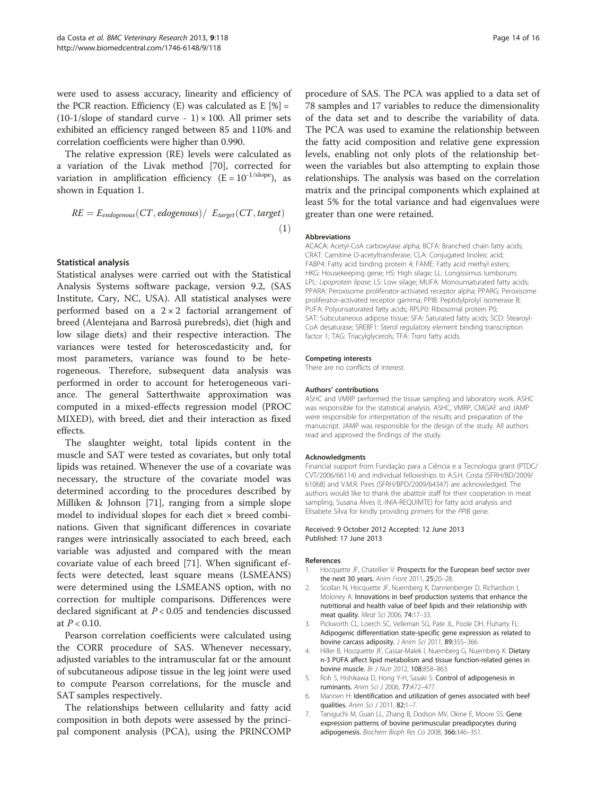<span id="page-13-0"></span>were used to assess accuracy, linearity and efficiency of the PCR reaction. Efficiency (E) was calculated as  $E [%] =$ (10-1/slope of standard curve - 1)  $\times$  100. All primer sets exhibited an efficiency ranged between 85 and 110% and correlation coefficients were higher than 0.990.

The relative expression (RE) levels were calculated as a variation of the Livak method [\[70](#page-15-0)], corrected for variation in amplification efficiency  $(E = 10^{-1/slope})$ , as shown in Equation 1.

$$
RE = E_{endogenous}(CT, edogenous) / E_{target}(CT, target)
$$
\n(1)

#### Statistical analysis

Statistical analyses were carried out with the Statistical Analysis Systems software package, version 9.2, (SAS Institute, Cary, NC, USA). All statistical analyses were performed based on a  $2 \times 2$  factorial arrangement of breed (Alentejana and Barrosã purebreds), diet (high and low silage diets) and their respective interaction. The variances were tested for heteroscedasticity and, for most parameters, variance was found to be heterogeneous. Therefore, subsequent data analysis was performed in order to account for heterogeneous variance. The general Satterthwaite approximation was computed in a mixed-effects regression model (PROC MIXED), with breed, diet and their interaction as fixed effects.

The slaughter weight, total lipids content in the muscle and SAT were tested as covariates, but only total lipids was retained. Whenever the use of a covariate was necessary, the structure of the covariate model was determined according to the procedures described by Milliken & Johnson [[71](#page-15-0)], ranging from a simple slope model to individual slopes for each diet  $\times$  breed combinations. Given that significant differences in covariate ranges were intrinsically associated to each breed, each variable was adjusted and compared with the mean covariate value of each breed [\[71\]](#page-15-0). When significant effects were detected, least square means (LSMEANS) were determined using the LSMEANS option, with no correction for multiple comparisons. Differences were declared significant at  $P < 0.05$  and tendencies discussed at  $P < 0.10$ .

Pearson correlation coefficients were calculated using the CORR procedure of SAS. Whenever necessary, adjusted variables to the intramuscular fat or the amount of subcutaneous adipose tissue in the leg joint were used to compute Pearson correlations, for the muscle and SAT samples respectively.

The relationships between cellularity and fatty acid composition in both depots were assessed by the principal component analysis (PCA), using the PRINCOMP

procedure of SAS. The PCA was applied to a data set of 78 samples and 17 variables to reduce the dimensionality of the data set and to describe the variability of data. The PCA was used to examine the relationship between the fatty acid composition and relative gene expression levels, enabling not only plots of the relationship between the variables but also attempting to explain those relationships. The analysis was based on the correlation matrix and the principal components which explained at least 5% for the total variance and had eigenvalues were greater than one were retained.

#### Abbreviations

ACACA: Acetyl-CoA carboxylase alpha; BCFA: Branched chain fatty acids; CRAT: Carnitine O-acetyltransferase; CLA: Conjugated linoleic acid; FABP4: Fatty acid binding protein 4; FAME: Fatty acid methyl esters; HKG: Housekeeping gene; HS: High silage; LL: Longissimus lumborum; LPL: Lipoprotein lipase; LS: Low silage; MUFA: Monounsaturated fatty acids; PPARA: Peroxisome proliferator-activated receptor alpha; PPARG: Peroxisome proliferator-activated receptor gamma; PPIB: Peptidylprolyl isomerase B; PUFA: Polyunsaturated fatty acids; RPLP0: Ribosomal protein P0; SAT: Subcutaneous adipose tissue; SFA: Saturated fatty acids; SCD: Stearoyl-CoA desaturase; SREBF1: Sterol regulatory element binding transcription factor 1; TAG: Triacylglycerols; TFA: Trans fatty acids.

#### Competing interests

There are no conflicts of interest.

#### Authors' contributions

ASHC and VMRP performed the tissue sampling and laboratory work. ASHC was responsible for the statistical analysis. ASHC, VMRP, CMGAF and JAMP were responsible for interpretation of the results and preparation of the manuscript. JAMP was responsible for the design of the study. All authors read and approved the findings of the study.

#### Acknowledgments

Financial support from Fundação para a Ciência e a Tecnologia grant (PTDC/ CVT/2006/66114) and individual fellowships to A.S.H. Costa (SFRH/BD/2009/ 61068) and V.M.R. Pires (SFRH/BPD/2009/64347) are acknowledged. The authors would like to thank the abattoir staff for their cooperation in meat sampling, Susana Alves (L-INIA-REQUIMTE) for fatty acid analysis and Elisabete Silva for kindly providing primers for the PPIB gene.

#### Received: 9 October 2012 Accepted: 12 June 2013 Published: 17 June 2013

#### References

- Hocquette JF, Chatellier V: Prospects for the European beef sector over the next 30 years. Anim Front 2011, 25:20–28.
- 2. Scollan N, Hocquette JF, Nuernberg K, Dannenberger D, Richardson I, Moloney A: Innovations in beef production systems that enhance the nutritional and health value of beef lipids and their relationship with meat quality. Meat Sci 2006, 74:17-33.
- 3. Pickworth CL, Loerch SC, Velleman SG, Pate JL, Poole DH, Fluharty FL: Adipogenic differentiation state-specific gene expression as related to bovine carcass adiposity. J Anim Sci 2011, 89:355-366.
- 4. Hiller B, Hocquette JF, Cassar-Malek I, Nuernberg G, Nuernberg K: Dietary n-3 PUFA affect lipid metabolism and tissue function-related genes in bovine muscle. Br J Nutr 2012, 108:858–863.
- 5. Roh S, Hishikawa D, Hong Y-H, Sasaki S: Control of adipogenesis in ruminants. Anim Sci J 2006, 77:472–477.
- 6. Mannen H: Identification and utilization of genes associated with beef qualities. Anim Sci J 2011, 82:1–7.
- 7. Taniguchi M, Guan LL, Zhang B, Dodson MV, Okine E, Moore SS: Gene expression patterns of bovine perimuscular preadipocytes during adipogenesis. Biochem Bioph Res Co 2008, 366:346–351.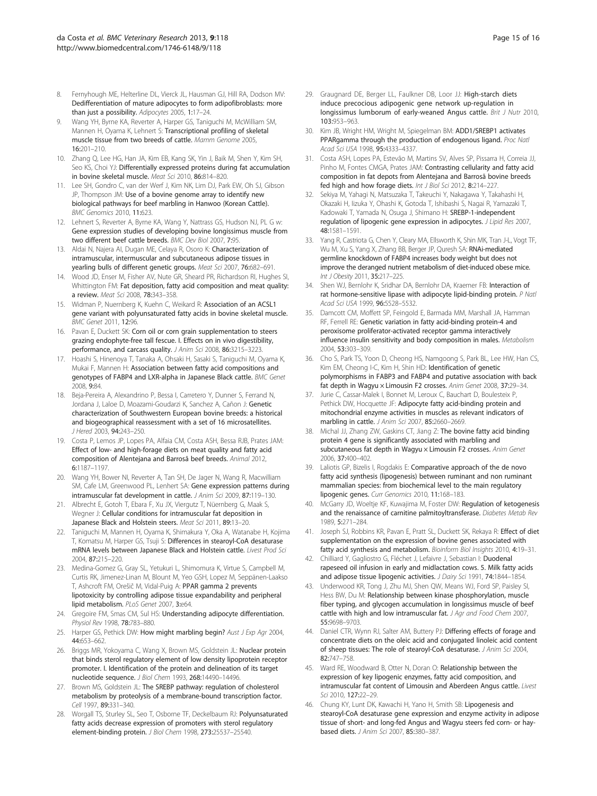- <span id="page-14-0"></span>8. Fernyhough ME, Helterline DL, Vierck JL, Hausman GJ, Hill RA, Dodson MV: Dedifferentiation of mature adipocytes to form adipofibroblasts: more than just a possibility. Adipocytes 2005, 1:17–24.
- 9. Wang YH, Byrne KA, Reverter A, Harper GS, Taniguchi M, McWilliam SM, Mannen H, Oyama K, Lehnert S: Transcriptional profiling of skeletal muscle tissue from two breeds of cattle. Mamm Genome 2005, 16:201–210.
- 10. Zhang Q, Lee HG, Han JA, Kim EB, Kang SK, Yin J, Baik M, Shen Y, Kim SH, Seo KS, Choi YJ: Differentially expressed proteins during fat accumulation in bovine skeletal muscle. Meat Sci 2010, 86:814–820.
- 11. Lee SH, Gondro C, van der Werf J, Kim NK, Lim DJ, Park EW, Oh SJ, Gibson JP. Thompson JM: Use of a bovine genome array to identify new biological pathways for beef marbling in Hanwoo (Korean Cattle). BMC Genomics 2010, 11:623.
- 12. Lehnert S, Reverter A, Byrne KA, Wang Y, Nattrass GS, Hudson NJ, PL G w: Gene expression studies of developing bovine longissimus muscle from two different beef cattle breeds. BMC Dev Biol 2007, 7:95.
- 13. Aldai N, Najera AI, Dugan ME, Celaya R, Osoro K: Characterization of intramuscular, intermuscular and subcutaneous adipose tissues in yearling bulls of different genetic groups. Meat Sci 2007, 76:682–691.
- 14. Wood JD, Enser M, Fisher AV, Nute GR, Sheard PR, Richardson RI, Hughes SI, Whittington FM: Fat deposition, fatty acid composition and meat quality: a review. Meat Sci 2008, 78:343–358.
- 15. Widman P, Nuernberg K, Kuehn C, Weikard R: Association of an ACSL1 gene variant with polyunsaturated fatty acids in bovine skeletal muscle. BMC Genet 2011, 12:96.
- 16. Pavan E, Duckett SK: Corn oil or corn grain supplementation to steers grazing endophyte-free tall fescue. I. Effects on in vivo digestibility, performance, and carcass quality. J Anim Sci 2008, 86:3215-3223.
- 17. Hoashi S, Hinenoya T, Tanaka A, Ohsaki H, Sasaki S, Taniguchi M, Oyama K, Mukai F, Mannen H: Association between fatty acid compositions and genotypes of FABP4 and LXR-alpha in Japanese Black cattle. BMC Genet 2008, 9:84.
- 18. Beja-Pereira A, Alexandrino P, Bessa I, Carretero Y, Dunner S, Ferrand N, Jordana J, Laloe D, Moazami-Goudarzi K, Sanchez A, Cañon J: Genetic characterization of Southwestern European bovine breeds: a historical and biogeographical reassessment with a set of 16 microsatellites. J Hered 2003, 94:243–250.
- 19. Costa P, Lemos JP, Lopes PA, Alfaia CM, Costa ASH, Bessa RJB, Prates JAM: Effect of low- and high-forage diets on meat quality and fatty acid composition of Alentejana and Barrosã beef breeds. Animal 2012, 6:1187–1197.
- 20. Wang YH, Bower NI, Reverter A, Tan SH, De Jager N, Wang R, Macwilliam SM, Cafe LM, Greenwood PL, Lenhert SA: Gene expression patterns during intramuscular fat development in cattle. J Anim Sci 2009, 87:119–130.
- 21. Albrecht E, Gotoh T, Ebara F, Xu JX, Viergutz T, Nüernberg G, Maak S, Wegner J: Cellular conditions for intramuscular fat deposition in Japanese Black and Holstein steers. Meat Sci 2011, 89:13–20.
- 22. Taniguchi M, Mannen H, Oyama K, Shimakura Y, Oka A, Watanabe H, Kojima T, Komatsu M, Harper GS, Tsuji S: Differences in stearoyl-CoA desaturase mRNA levels between Japanese Black and Holstein cattle. Livest Prod Sci 2004, 87:215–220.
- 23. Medina-Gomez G, Gray SL, Yetukuri L, Shimomura K, Virtue S, Campbell M, Curtis RK, Jimenez-Linan M, Blount M, Yeo GSH, Lopez M, Seppänen-Laakso T, Ashcroft FM, Orešič M, Vidal-Puig A: PPAR gamma 2 prevents lipotoxicity by controlling adipose tissue expandability and peripheral lipid metabolism. PLoS Genet 2007, 3:e64.
- 24. Gregoire FM, Smas CM, Sul HS: Understanding adipocyte differentiation. Physiol Rev 1998, 78:783–880.
- 25. Harper GS, Pethick DW: How might marbling begin? Aust J Exp Agr 2004, 44:653–662.
- 26. Briggs MR, Yokoyama C, Wang X, Brown MS, Goldstein JL: Nuclear protein that binds sterol regulatory element of low density lipoprotein receptor promoter. I. Identification of the protein and delineation of its target nucleotide sequence. J Biol Chem 1993, 268:14490–14496.
- 27. Brown MS, Goldstein JL: The SREBP pathway: regulation of cholesterol metabolism by proteolysis of a membrane-bound transcription factor. Cell 1997, 89:331–340.
- 28. Worgall TS, Sturley SL, Seo T, Osborne TF, Deckelbaum RJ: Polyunsaturated fatty acids decrease expression of promoters with sterol regulatory element-binding protein. J Biol Chem 1998, 273:25537–25540.
- 29. Graugnard DE, Berger LL, Faulkner DB, Loor JJ: High-starch diets induce precocious adipogenic gene network up-regulation in longissimus lumborum of early-weaned Angus cattle. Brit J Nutr 2010, 103:953–963.
- 30. Kim JB, Wright HM, Wright M, Spiegelman BM: ADD1/SREBP1 activates PPARgamma through the production of endogenous ligand. Proc Natl Acad Sci USA 1998, 95:4333–4337.
- 31. Costa ASH, Lopes PA, Estevão M, Martins SV, Alves SP, Pissarra H, Correia JJ, Pinho M, Fontes CMGA, Prates JAM: Contrasting cellularity and fatty acid composition in fat depots from Alentejana and Barrosã bovine breeds fed high and how forage diets. Int J Biol Sci 2012, 8:214-227
- 32. Sekiya M, Yahagi N, Matsuzaka T, Takeuchi Y, Nakagawa Y, Takahashi H, Okazaki H, Iizuka Y, Ohashi K, Gotoda T, Ishibashi S, Nagai R, Yamazaki T, Kadowaki T, Yamada N, Osuga J, Shimano H: SREBP-1-independent regulation of lipogenic gene expression in adipocytes. J Lipid Res 2007, 48:1581–1591.
- 33. Yang R, Castriota G, Chen Y, Cleary MA, Ellsworth K, Shin MK, Tran J-L, Vogt TF, Wu M, Xu S, Yang X, Zhang BB, Berger JP, Quresh SA: RNAi-mediated germline knockdown of FABP4 increases body weight but does not improve the deranged nutrient metabolism of diet-induced obese mice. Int J Obesity 2011, 35:217–225.
- 34. Shen WJ, Bernlohr K, Sridhar DA, Bernlohr DA, Kraemer FB: Interaction of rat hormone-sensitive lipase with adipocyte lipid-binding protein. P Natl Acad Sci USA 1999, 96:5528–5532.
- 35. Damcott CM, Moffett SP, Feingold E, Barmada MM, Marshall JA, Hamman RF, Ferrell RE: Genetic variation in fatty acid-binding protein-4 and peroxisome proliferator-activated receptor gamma interactively influence insulin sensitivity and body composition in males. Metabolism 2004, 53:303–309.
- 36. Cho S, Park TS, Yoon D, Cheong HS, Namgoong S, Park BL, Lee HW, Han CS, Kim EM, Cheong I-C, Kim H, Shin HD: Identification of genetic polymorphisms in FABP3 and FABP4 and putative association with back fat depth in Wagyu × Limousin F2 crosses. Anim Genet 2008, 37:29–34.
- 37. Jurie C, Cassar-Malek I, Bonnet M, Leroux C, Bauchart D, Boulesteix P, Pethick DW, Hocquette JF: Adipocyte fatty acid-binding protein and mitochondrial enzyme activities in muscles as relevant indicators of marbling in cattle. J Anim Sci 2007, 85:2660-2669.
- 38. Michal JJ, Zhang ZW, Gaskins CT, Jiang Z: The bovine fatty acid binding protein 4 gene is significantly associated with marbling and subcutaneous fat depth in Wagyu x Limousin F2 crosses. Anim Genet 2006, 37:400–402.
- 39. Laliotis GP, Bizelis I, Rogdakis E: Comparative approach of the de novo fatty acid synthesis (lipogenesis) between ruminant and non ruminant mammalian species: from biochemical level to the main regulatory lipogenic genes. Curr Genomics 2010, 11:168-183.
- 40. McGarry JD, Woeltje KF, Kuwajima M, Foster DW: Regulation of ketogenesis and the renaissance of carnitine palmitoyltransferase. Diabetes Metab Rev 1989, 5:271–284.
- 41. Joseph SJ, Robbins KR, Pavan E, Pratt SL, Duckett SK, Rekaya R: Effect of diet supplementation on the expression of bovine genes associated with fatty acid synthesis and metabolism. Bioinform Biol Insights 2010, 4:19–31.
- 42. Chilliard Y, Gagliostro G, Fléchet J, Lefaivre J, Sebastian I: Duodenal rapeseed oil infusion in early and midlactation cows. 5. Milk fatty acids and adipose tissue lipogenic activities. J Dairy Sci 1991, 74:1844-1854.
- 43. Underwood KR, Tong J, Zhu MJ, Shen QW, Means WJ, Ford SP, Paisley SI, Hess BW, Du M: Relationship between kinase phosphorylation, muscle fiber typing, and glycogen accumulation in longissimus muscle of beef cattle with high and low intramuscular fat. J Agr and Food Chem 2007, 55:9698–9703.
- 44. Daniel CTR, Wynn RJ, Salter AM, Buttery PJ: Differing effects of forage and concentrate diets on the oleic acid and conjugated linoleic acid content of sheep tissues: The role of stearoyl-CoA desaturase. J Anim Sci 2004, 82:747–758.
- 45. Ward RE, Woodward B, Otter N, Doran O: Relationship between the expression of key lipogenic enzymes, fatty acid composition, and intramuscular fat content of Limousin and Aberdeen Angus cattle. Livest Sci 2010, 127:22-29.
- 46. Chung KY, Lunt DK, Kawachi H, Yano H, Smith SB: Lipogenesis and stearoyl-CoA desaturase gene expression and enzyme activity in adipose tissue of short- and long-fed Angus and Wagyu steers fed corn- or haybased diets. J Anim Sci 2007, 85:380–387.